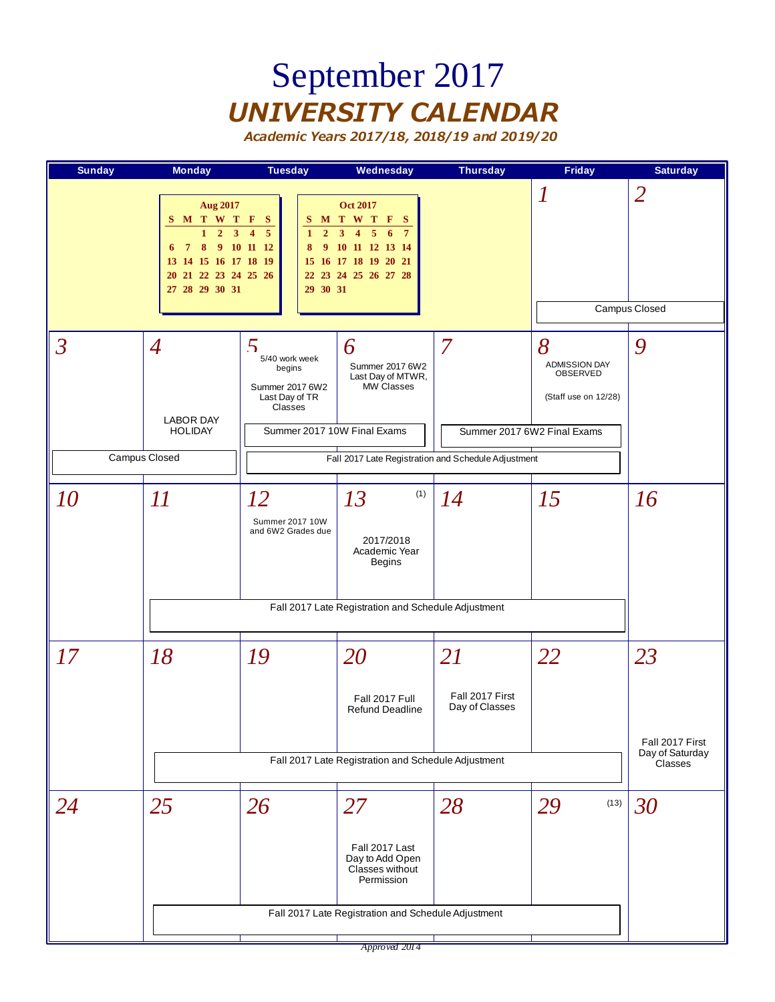### September 2017 *UNIVERSITY CALENDAR*

*Academic Years 2017/18, 2018/19 and 2019/20*



*Approved 2014*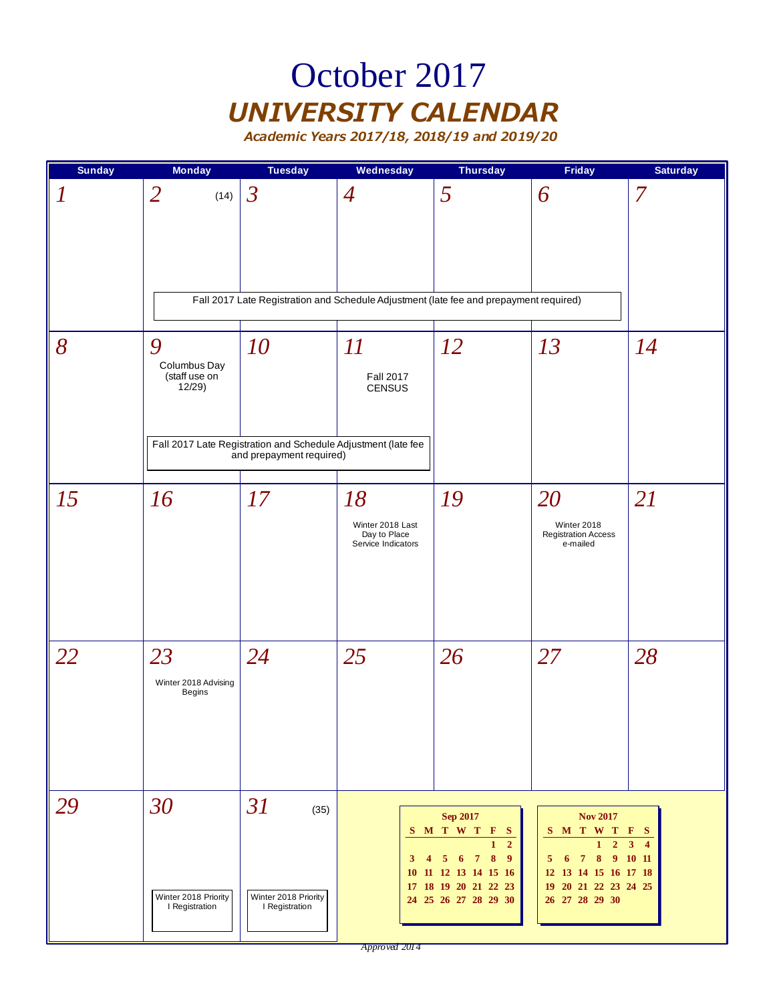### October 2017 *UNIVERSITY CALENDAR*

| <b>Sunday</b> | <b>Monday</b>                                | <b>Tuesday</b>                                                                            | Wednesday                                                    | <b>Thursday</b>                                                                                                                                                                         | Friday                                                                                                                                      | <b>Saturday</b> |
|---------------|----------------------------------------------|-------------------------------------------------------------------------------------------|--------------------------------------------------------------|-----------------------------------------------------------------------------------------------------------------------------------------------------------------------------------------|---------------------------------------------------------------------------------------------------------------------------------------------|-----------------|
|               | $\overline{2}$<br>(14)                       | $\mathfrak{Z}$                                                                            | $\overline{4}$                                               | 5                                                                                                                                                                                       | 6                                                                                                                                           | 7               |
|               |                                              |                                                                                           |                                                              | Fall 2017 Late Registration and Schedule Adjustment (late fee and prepayment required)                                                                                                  |                                                                                                                                             |                 |
| 8             | 9<br>Columbus Day<br>(staff use on<br>12/29  | 10                                                                                        | II<br><b>Fall 2017</b><br><b>CENSUS</b>                      | 12                                                                                                                                                                                      | 13                                                                                                                                          | 14              |
|               |                                              | Fall 2017 Late Registration and Schedule Adjustment (late fee<br>and prepayment required) |                                                              |                                                                                                                                                                                         |                                                                                                                                             |                 |
| 15            | 16                                           | 17                                                                                        | 18<br>Winter 2018 Last<br>Day to Place<br>Service Indicators | 19                                                                                                                                                                                      | 20<br>Winter 2018<br><b>Registration Access</b><br>e-mailed                                                                                 | 21              |
| 22            | 23<br>Winter 2018 Advising<br><b>Begins</b>  | 24                                                                                        | 25                                                           | 26                                                                                                                                                                                      | 27                                                                                                                                          | 28              |
| 29            | 30<br>Winter 2018 Priority<br>I Registration | 31<br>(35)<br>Winter 2018 Priority<br>I Registration                                      | $3^{\circ}$<br>$\overline{4}$                                | <b>Sep 2017</b><br>S M T W T F S<br>$\mathbf{1}$<br>$\overline{2}$<br>6 7 8<br>$\overline{9}$<br>5 <sub>5</sub><br>10 11 12 13 14 15 16<br>17 18 19 20 21 22 23<br>24 25 26 27 28 29 30 | <b>Nov 2017</b><br>S M T W T F S<br>$1\quad 2$<br>7 8 9 10 11<br>5<br>- 6<br>12 13 14 15 16 17 18<br>19 20 21 22 23 24 25<br>26 27 28 29 30 | $3\quad 4$      |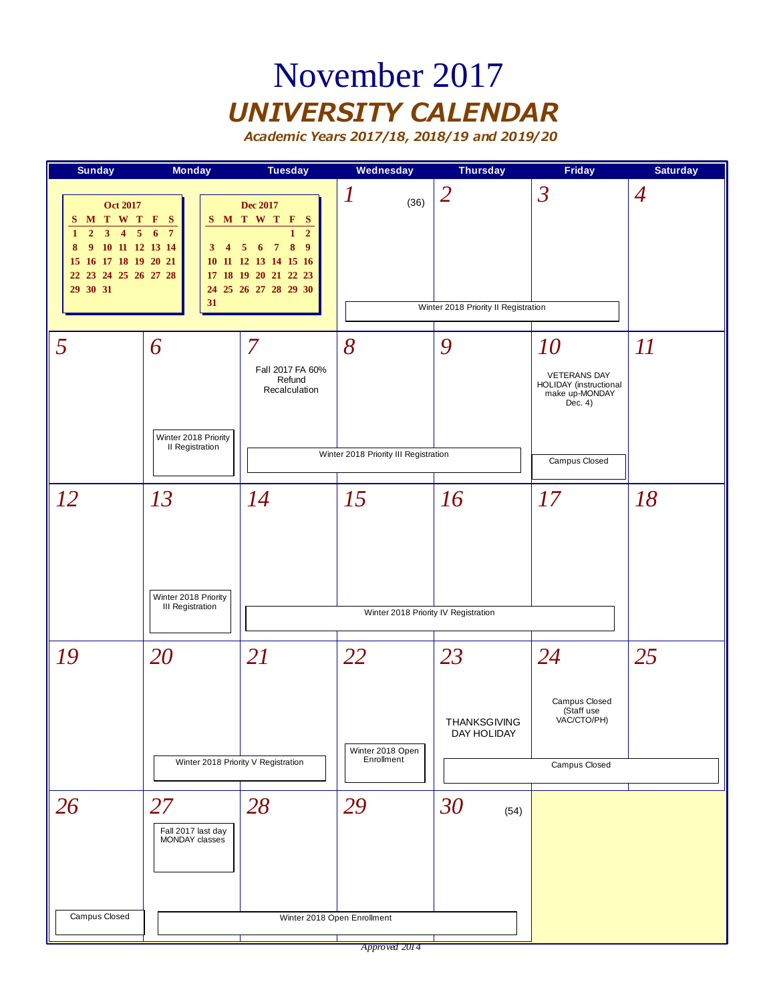#### November 2017 *UNIVERSITY CALENDAR*

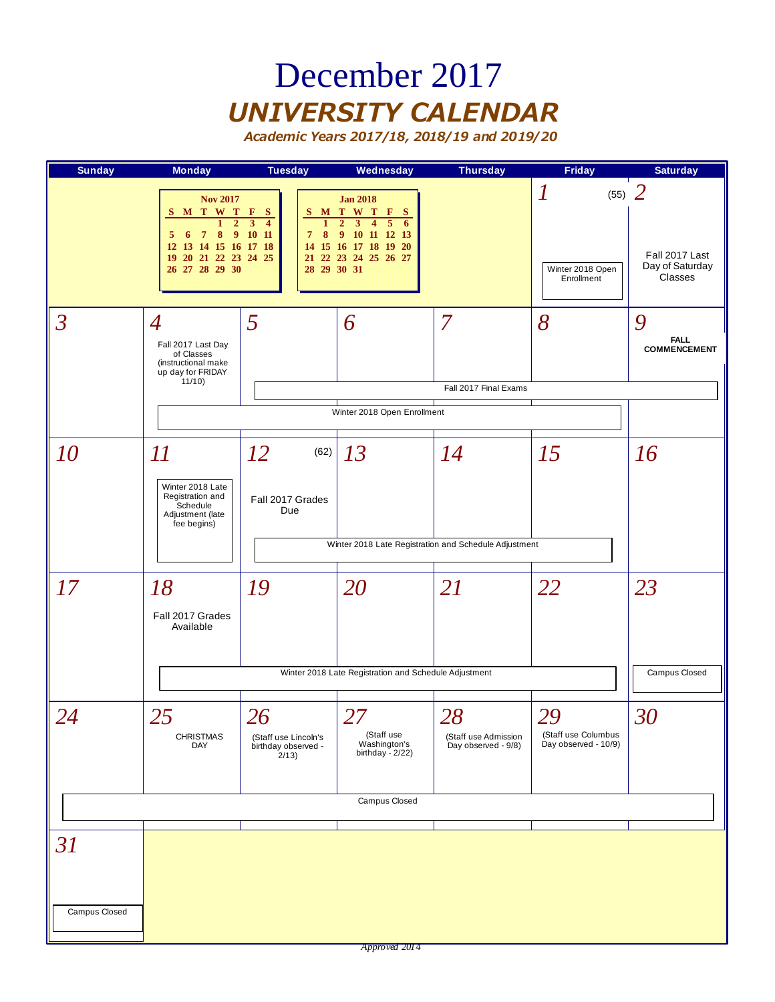#### December 2017 *UNIVERSITY CALENDAR*

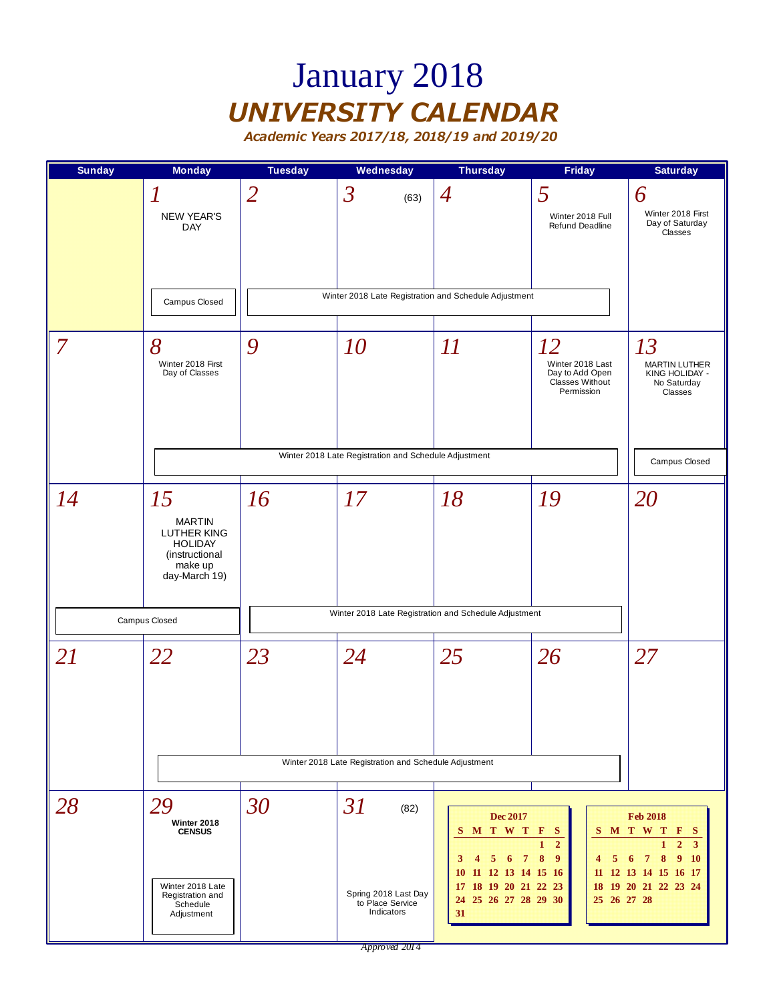# January 2018 *UNIVERSITY CALENDAR*

| <b>Sunday</b>  | <b>Monday</b>                                                                                        | <b>Tuesday</b> | Wednesday                                                            | <b>Thursday</b>                                                                                                                                     | <b>Friday</b>                                                                     | <b>Saturday</b>                                                                                                                                                                            |
|----------------|------------------------------------------------------------------------------------------------------|----------------|----------------------------------------------------------------------|-----------------------------------------------------------------------------------------------------------------------------------------------------|-----------------------------------------------------------------------------------|--------------------------------------------------------------------------------------------------------------------------------------------------------------------------------------------|
|                | $\boldsymbol{l}$<br><b>NEW YEAR'S</b><br><b>DAY</b><br>Campus Closed                                 | $\overline{2}$ | $\mathfrak{Z}$<br>(63)                                               | $\overline{4}$<br>Winter 2018 Late Registration and Schedule Adjustment                                                                             | 5<br>Winter 2018 Full<br>Refund Deadline                                          | 6<br>Winter 2018 First<br>Day of Saturday<br>Classes                                                                                                                                       |
| $\overline{7}$ | 8<br>Winter 2018 First<br>Day of Classes                                                             | 9              | 10                                                                   | $\varPi$                                                                                                                                            | 12<br>Winter 2018 Last<br>Day to Add Open<br><b>Classes Without</b><br>Permission | 13<br><b>MARTIN LUTHER</b><br>KING HOLIDAY -<br>No Saturday<br>Classes                                                                                                                     |
|                |                                                                                                      |                | Winter 2018 Late Registration and Schedule Adjustment                |                                                                                                                                                     |                                                                                   | Campus Closed                                                                                                                                                                              |
| 14             | 15<br><b>MARTIN</b><br>LUTHER KING<br><b>HOLIDAY</b><br>(instructional<br>make up<br>day-March 19)   | 16             | 17                                                                   | 18                                                                                                                                                  | 19                                                                                | 20                                                                                                                                                                                         |
|                | Campus Closed                                                                                        |                |                                                                      | Winter 2018 Late Registration and Schedule Adjustment                                                                                               |                                                                                   |                                                                                                                                                                                            |
| 21             | 22                                                                                                   | 23             | 24                                                                   | 25                                                                                                                                                  | 26                                                                                | 27                                                                                                                                                                                         |
|                |                                                                                                      |                | Winter 2018 Late Registration and Schedule Adjustment                |                                                                                                                                                     |                                                                                   |                                                                                                                                                                                            |
| 28             | 29<br>Winter 2018<br><b>CENSUS</b><br>Winter 2018 Late<br>Registration and<br>Schedule<br>Adjustment | 30             | 31<br>(82)<br>Spring 2018 Last Day<br>to Place Service<br>Indicators | <b>Dec 2017</b><br>S M T W T F S<br>$5\quad 6\quad 7$<br>3<br>4<br>11 12 13 14 15 16<br>10<br>17 18 19 20 21 22 23<br>25 26 27 28 29 30<br>24<br>31 | $\overline{2}$<br>8<br>$\boldsymbol{9}$<br>5<br>4<br>11<br>25 26 27 28            | <b>Feb 2018</b><br>S M T W T F S<br>$\overline{2}$<br>$\mathbf{3}$<br>$\mathbf{1}$<br>$\overline{7}$<br>8<br>$\overline{9}$<br>6<br><b>10</b><br>12 13 14 15 16 17<br>18 19 20 21 22 23 24 |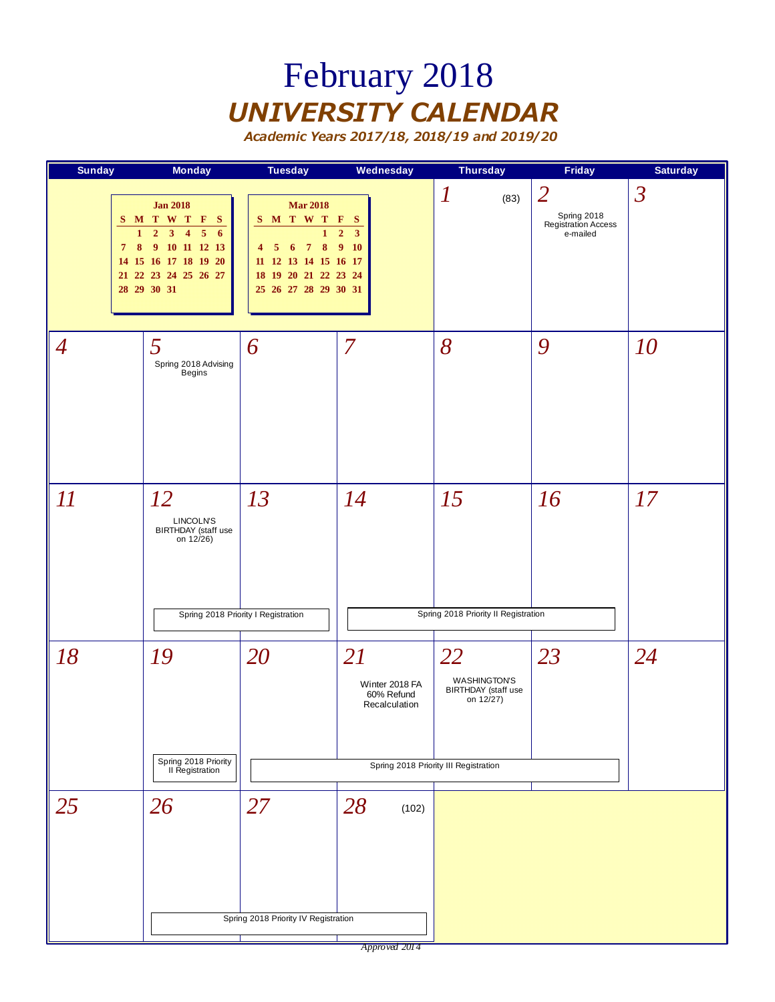# February 2018 *UNIVERSITY CALENDAR*

*Academic Years 2017/18, 2018/19 and 2019/20*

| <b>Sunday</b>               | <b>Monday</b>                                                                                                                                                                                                 | <b>Tuesday</b>                                                                                                                                                                                        | <b>Wednesday</b>                                                         | <b>Thursday</b>                                                                                           | <b>Friday</b>                                                    | <b>Saturday</b> |
|-----------------------------|---------------------------------------------------------------------------------------------------------------------------------------------------------------------------------------------------------------|-------------------------------------------------------------------------------------------------------------------------------------------------------------------------------------------------------|--------------------------------------------------------------------------|-----------------------------------------------------------------------------------------------------------|------------------------------------------------------------------|-----------------|
| $\mathbf{1}$<br>$7^{\circ}$ | <b>Jan 2018</b><br>S M T W T F<br>- S<br>$\overline{2}$<br>3 <sup>1</sup><br>5 <sup>5</sup><br>$\overline{\mathbf{4}}$<br>6<br>8 9 10 11 12 13<br>14 15 16 17 18 19 20<br>21 22 23 24 25 26 27<br>28 29 30 31 | <b>Mar 2018</b><br>S M T W T F<br>$\mathbf{1}$<br>$\boldsymbol{8}$<br>$\overline{7}$<br>$5\quad 6$<br>$\overline{\mathbf{4}}$<br>11 12 13 14 15 16 17<br>18 19 20 21 22 23 24<br>25 26 27 28 29 30 31 | <b>S</b><br>$\overline{\mathbf{3}}$<br>$\overline{2}$<br>9 <sub>10</sub> | $\boldsymbol{l}$<br>(83)                                                                                  | $\overline{2}$<br>Spring 2018<br>Registration Access<br>e-mailed | $\mathfrak{Z}$  |
| $\overline{A}$              | 5<br>Spring 2018 Advising<br>Begins                                                                                                                                                                           | 6                                                                                                                                                                                                     | $\overline{7}$                                                           | 8                                                                                                         | 9                                                                | 10              |
| 11                          | 12<br>LINCOLN'S<br>BIRTHDAY (staff use<br>on 12/26)                                                                                                                                                           | 13<br>Spring 2018 Priority I Registration                                                                                                                                                             | 14                                                                       | 15<br>Spring 2018 Priority II Registration                                                                | 16                                                               | 17              |
| 18                          | 19<br>Spring 2018 Priority<br>II Registration                                                                                                                                                                 | 20                                                                                                                                                                                                    | 21<br>Winter 2018 FA<br>60% Refund<br>Recalculation                      | 22<br><b>WASHINGTON'S</b><br>BIRTHDAY (staff use<br>on $12/27$ )<br>Spring 2018 Priority III Registration | 23                                                               | 24              |
| 25                          | 26                                                                                                                                                                                                            | 27<br>Spring 2018 Priority IV Registration                                                                                                                                                            | 28<br>(102)                                                              |                                                                                                           |                                                                  |                 |

*Approved 2014*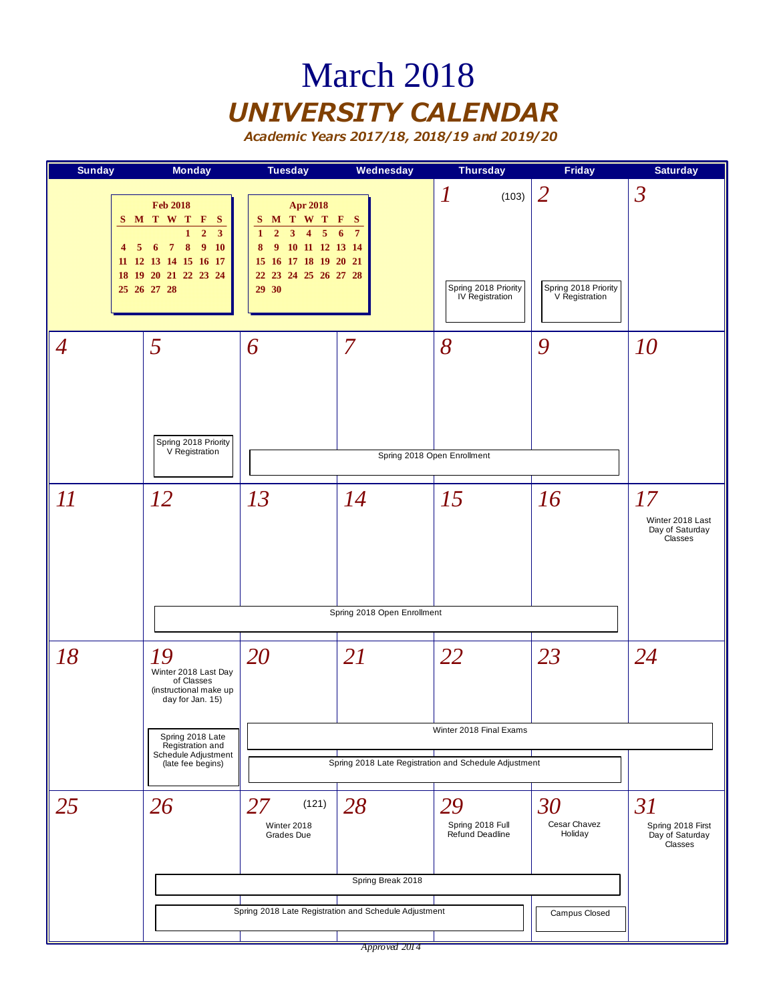### March 2018 *UNIVERSITY CALENDAR*

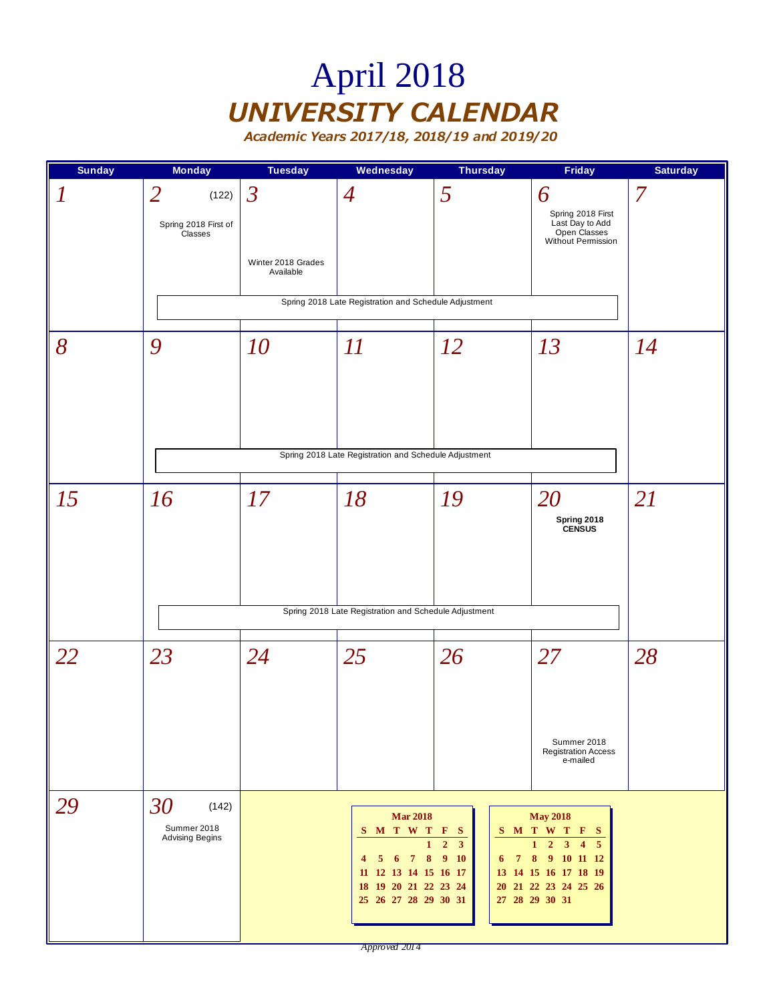# April 2018 *UNIVERSITY CALENDAR*

| <b>Sunday</b>    | <b>Monday</b>                                              | <b>Tuesday</b>                                    | Wednesday                                                                                                                                                  | <b>Thursday</b>                                        | Friday                                                                                                                                                    | <b>Saturday</b> |
|------------------|------------------------------------------------------------|---------------------------------------------------|------------------------------------------------------------------------------------------------------------------------------------------------------------|--------------------------------------------------------|-----------------------------------------------------------------------------------------------------------------------------------------------------------|-----------------|
| $\boldsymbol{l}$ | $\overline{2}$<br>(122)<br>Spring 2018 First of<br>Classes | $\mathfrak{Z}$<br>Winter 2018 Grades<br>Available | $\overline{4}$<br>Spring 2018 Late Registration and Schedule Adjustment                                                                                    | 5                                                      | 6<br>Spring 2018 First<br>Last Day to Add<br>Open Classes<br>Without Permission                                                                           | $\overline{7}$  |
| 8                | 9                                                          | 10                                                | II<br>Spring 2018 Late Registration and Schedule Adjustment                                                                                                | <i>12</i>                                              | 13                                                                                                                                                        | 14              |
| 15               | 16                                                         | 17                                                | 18<br>Spring 2018 Late Registration and Schedule Adjustment                                                                                                | 19                                                     | 20<br>Spring 2018<br>CENSUS                                                                                                                               | 21              |
| 22               | 23                                                         | 24                                                | 25                                                                                                                                                         | 26                                                     | 27<br>Summer 2018<br><b>Registration Access</b><br>e-mailed                                                                                               | 28              |
| 29               | 30<br>(142)<br>Summer 2018<br><b>Advising Begins</b>       |                                                   | <b>Mar 2018</b><br>S M T W T F S<br>$\mathbf{1}$<br>6 7 8 9 10<br>$5^{\circ}$<br>4<br>11 12 13 14 15 16 17<br>18 19 20 21 22 23 24<br>25 26 27 28 29 30 31 | $\overline{2}$<br>$\mathbf{3}$<br>$7\phantom{.0}$<br>6 | <b>May 2018</b><br>S M T W T F S<br>$1 \quad 2 \quad 3 \quad 4 \quad 5$<br>8 9 10 11 12<br>13 14 15 16 17 18 19<br>20 21 22 23 24 25 26<br>27 28 29 30 31 |                 |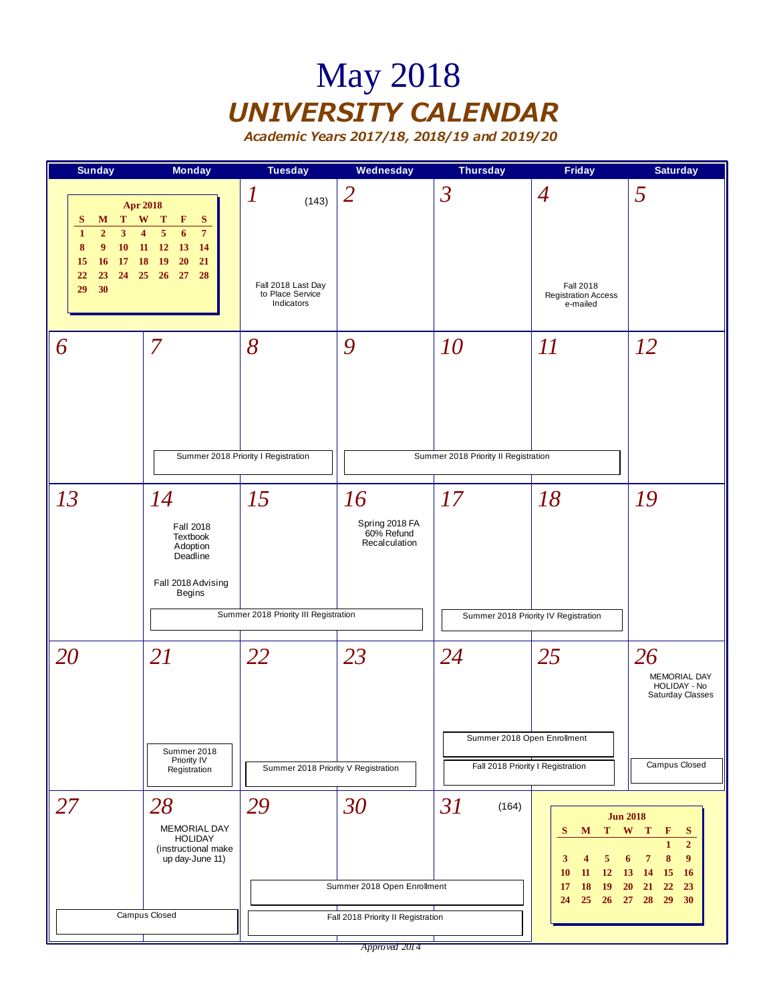### May 2018 *UNIVERSITY CALENDAR*

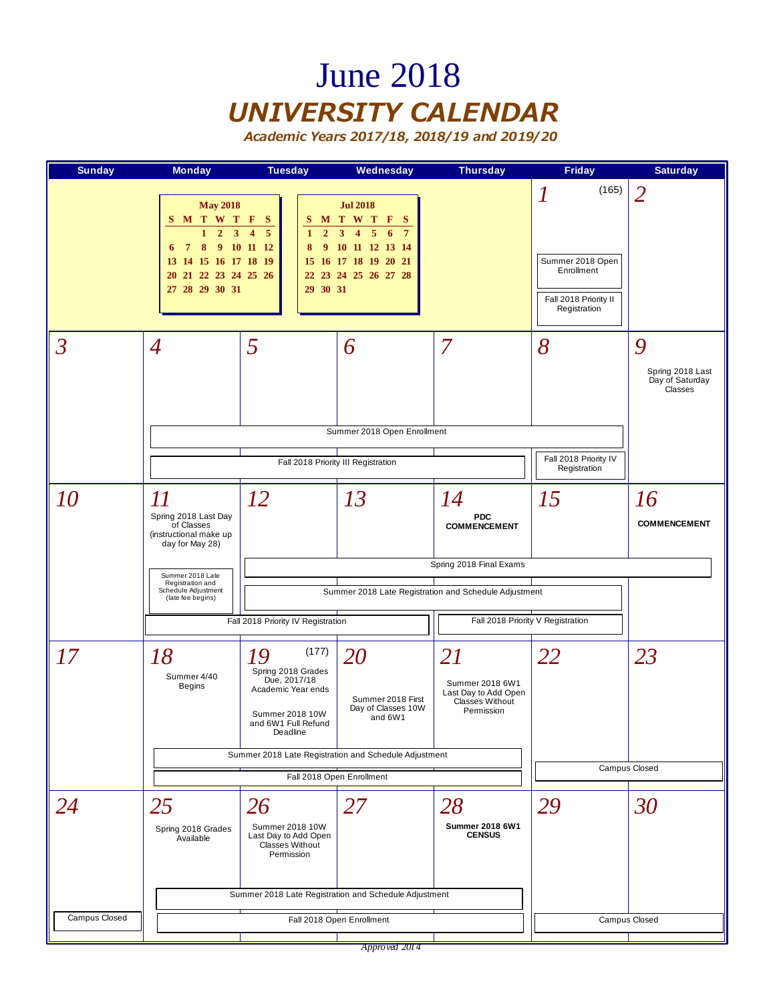#### June 2018 *UNIVERSITY CALENDAR*

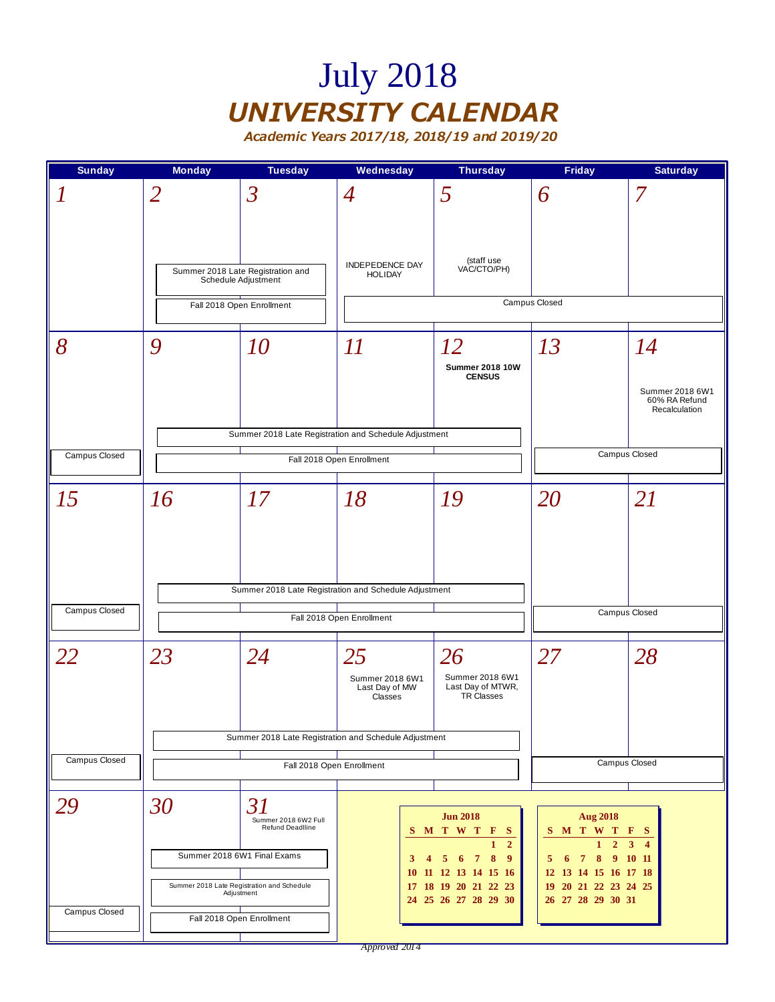## July 2018 *UNIVERSITY CALENDAR*

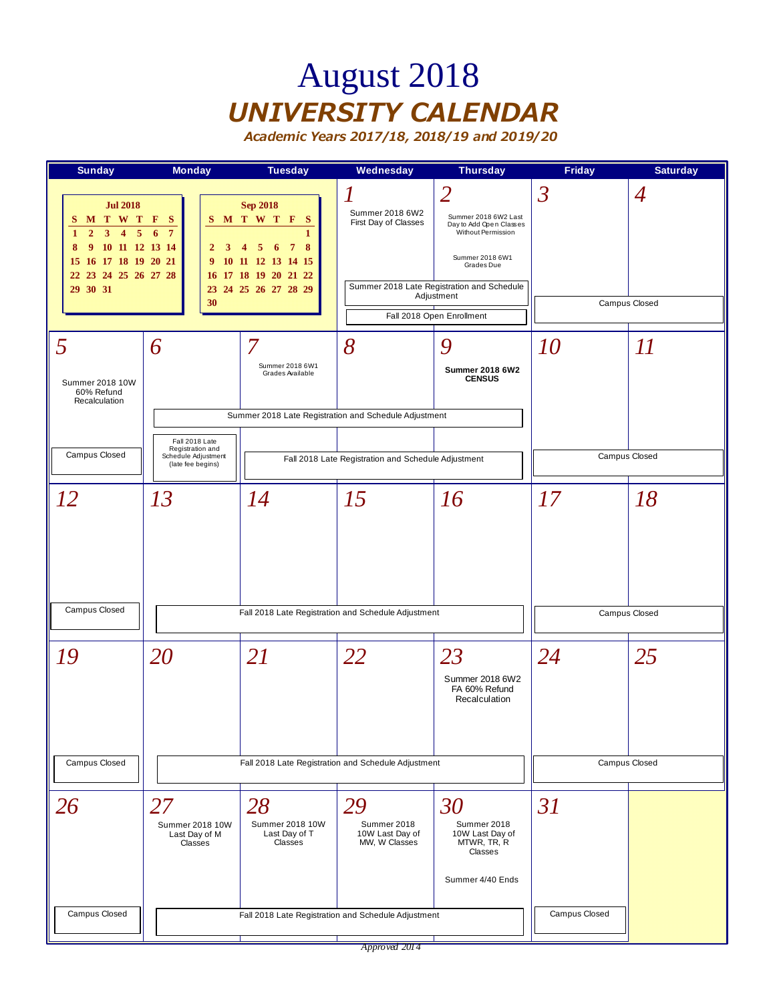## August 2018 *UNIVERSITY CALENDAR*

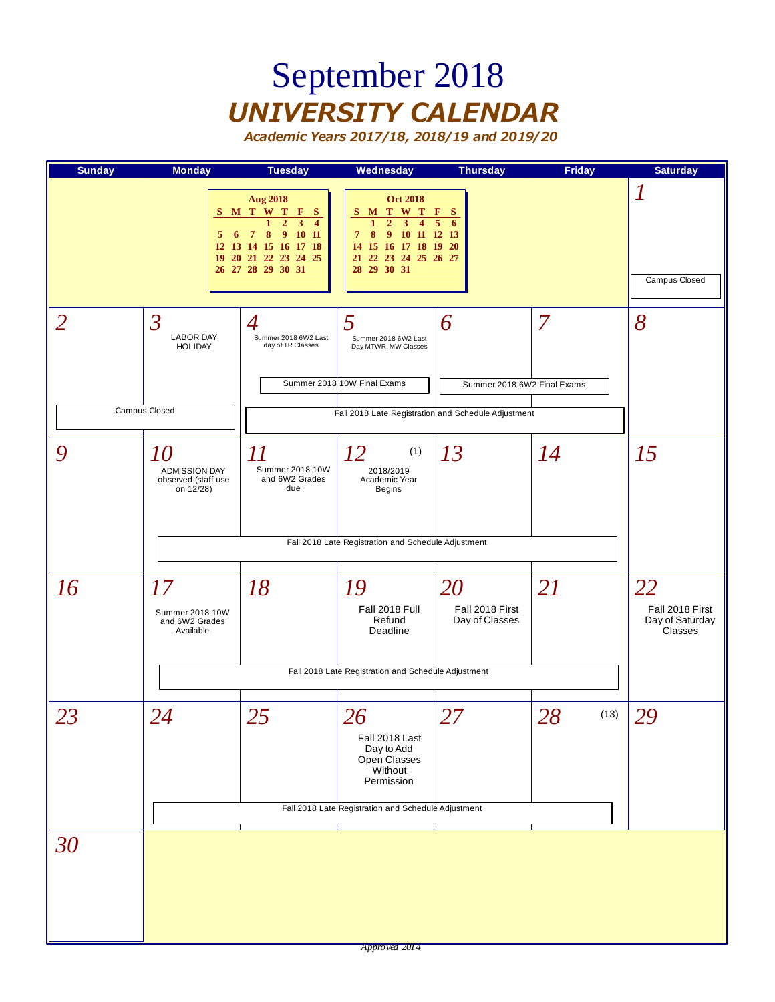## September 2018 *UNIVERSITY CALENDAR*

| <b>Sunday</b> | <b>Monday</b>                                                                   | <b>Tuesday</b>                                                                                                                                                                                                       | Wednesday                                                                                                                                                                                                                 | <b>Thursday</b>                         | <b>Friday</b> | <b>Saturday</b>                                     |
|---------------|---------------------------------------------------------------------------------|----------------------------------------------------------------------------------------------------------------------------------------------------------------------------------------------------------------------|---------------------------------------------------------------------------------------------------------------------------------------------------------------------------------------------------------------------------|-----------------------------------------|---------------|-----------------------------------------------------|
|               | 5<br>6                                                                          | <b>Aug 2018</b><br>S M T W T<br>F<br>- S<br>$\overline{2}$<br>$\overline{\mathbf{3}}$<br>$\mathbf{1}$<br>$\overline{4}$<br>9<br>10 11<br>8<br>7<br>12 13 14 15 16 17 18<br>19 20 21 22 23 24 25<br>26 27 28 29 30 31 | <b>Oct 2018</b><br>M T W T<br>S<br>$\overline{2}$<br>$\mathbf{1}$<br>$\mathbf{3}$<br>$\overline{\mathbf{4}}$<br>8<br>9<br>10 11 12 13<br>$\overline{\tau}$<br>14 15 16 17 18 19 20<br>21 22 23 24 25 26 27<br>28 29 30 31 | F<br>- S<br>$\overline{5}$<br>6         |               | 1<br>Campus Closed                                  |
| 2             | $\overline{\mathcal{S}}$<br><b>LABOR DAY</b><br><b>HOLIDAY</b><br>Campus Closed | $\overline{4}$<br>Summer 2018 6W2 Last<br>day of TR Classes                                                                                                                                                          | 5<br>Summer 2018 6W2 Last<br>Day MTWR, MW Classes<br>Summer 2018 10W Final Exams                                                                                                                                          | 6<br>Summer 2018 6W2 Final Exams        | 7             | 8                                                   |
|               |                                                                                 |                                                                                                                                                                                                                      | Fall 2018 Late Registration and Schedule Adjustment                                                                                                                                                                       |                                         |               |                                                     |
| 9             | <i>10</i><br><b>ADMISSION DAY</b><br>observed (staff use<br>on 12/28)           | 11<br>Summer 2018 10W<br>and 6W2 Grades<br>due                                                                                                                                                                       | 12<br>(1)<br>2018/2019<br>Academic Year<br><b>Begins</b>                                                                                                                                                                  | 13                                      | 14            | 15                                                  |
|               |                                                                                 |                                                                                                                                                                                                                      | Fall 2018 Late Registration and Schedule Adjustment                                                                                                                                                                       |                                         |               |                                                     |
| 16            | 17<br>Summer 2018 10W<br>and 6W2 Grades<br>Available                            | 18                                                                                                                                                                                                                   | 19<br>Fall 2018 Full<br>Refund<br>Deadline                                                                                                                                                                                | 20<br>Fall 2018 First<br>Day of Classes | <b>21</b>     | 22<br>Fall 2018 First<br>Day of Saturday<br>Classes |
|               |                                                                                 |                                                                                                                                                                                                                      | Fall 2018 Late Registration and Schedule Adjustment                                                                                                                                                                       |                                         |               |                                                     |
| 23            | 24                                                                              | 25                                                                                                                                                                                                                   | 26<br>Fall 2018 Last<br>Day to Add<br>Open Classes<br>Without<br>Permission                                                                                                                                               | 27                                      | 28<br>(13)    | 29                                                  |
|               |                                                                                 |                                                                                                                                                                                                                      | Fall 2018 Late Registration and Schedule Adjustment                                                                                                                                                                       |                                         |               |                                                     |
| 30            |                                                                                 |                                                                                                                                                                                                                      |                                                                                                                                                                                                                           |                                         |               |                                                     |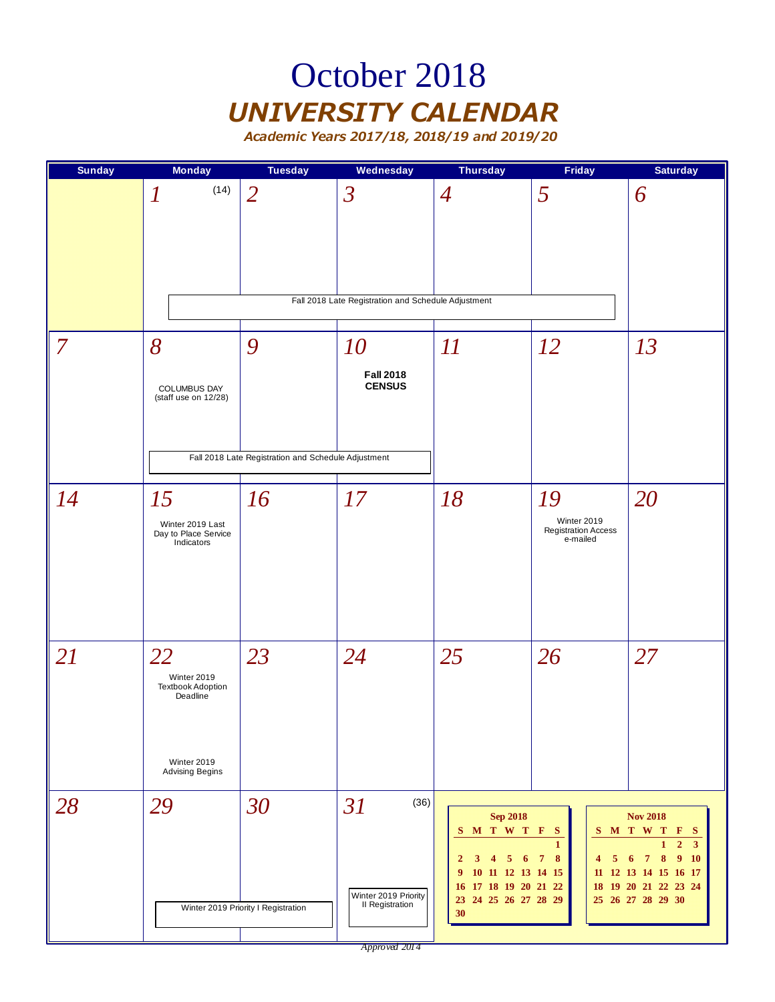### October 2018 *UNIVERSITY CALENDAR*

| <b>Sunday</b> | <b>Monday</b>                                                                               | <b>Tuesday</b>                                           | Wednesday                                                             | <b>Thursday</b>                                                                                                                                                             | <b>Friday</b>                                               | <b>Saturday</b>                                                                                                                                                          |
|---------------|---------------------------------------------------------------------------------------------|----------------------------------------------------------|-----------------------------------------------------------------------|-----------------------------------------------------------------------------------------------------------------------------------------------------------------------------|-------------------------------------------------------------|--------------------------------------------------------------------------------------------------------------------------------------------------------------------------|
|               | (14)<br>$\boldsymbol{l}$                                                                    | $\overline{2}$                                           | $\mathfrak{Z}$<br>Fall 2018 Late Registration and Schedule Adjustment | $\overline{4}$                                                                                                                                                              | 5                                                           | 6                                                                                                                                                                        |
| $\vert$ 7     | 8<br>COLUMBUS DAY<br>(staff use on 12/28)                                                   | 9<br>Fall 2018 Late Registration and Schedule Adjustment | 10<br><b>Fall 2018</b><br><b>CENSUS</b>                               | $\varPi$                                                                                                                                                                    | <i>12</i>                                                   | 13                                                                                                                                                                       |
| 14            | 15<br>Winter 2019 Last<br>Day to Place Service<br>Indicators                                | 16                                                       | 17                                                                    | 18                                                                                                                                                                          | 19<br>Winter 2019<br><b>Registration Access</b><br>e-mailed | 20                                                                                                                                                                       |
| 21            | 22<br>Winter 2019<br><b>Textbook Adoption</b><br>Deadline<br>Winter 2019<br>Advising Begins | 23                                                       | 24                                                                    | 25                                                                                                                                                                          | 26                                                          | 27                                                                                                                                                                       |
| 28            | 29                                                                                          | 30<br>Winter 2019 Priority I Registration                | (36)<br>31<br>Winter 2019 Priority<br>II Registration                 | <b>Sep 2018</b><br>S M T W T F S<br>$\mathbf{2}$<br>3<br>5<br>6<br>$\overline{4}$<br>10 11 12 13 14 15<br>9<br>17 18 19 20 21 22<br><b>16</b><br>23 24 25 26 27 28 29<br>30 | $\mathbf{1}$<br>8<br>$\overline{\tau}$<br>5<br>4            | <b>Nov 2018</b><br>SMTWTFS<br>$\overline{\mathbf{3}}$<br>$\overline{7}$<br>9<br><b>10</b><br>6<br>8<br>11 12 13 14 15 16 17<br>18 19 20 21 22 23 24<br>25 26 27 28 29 30 |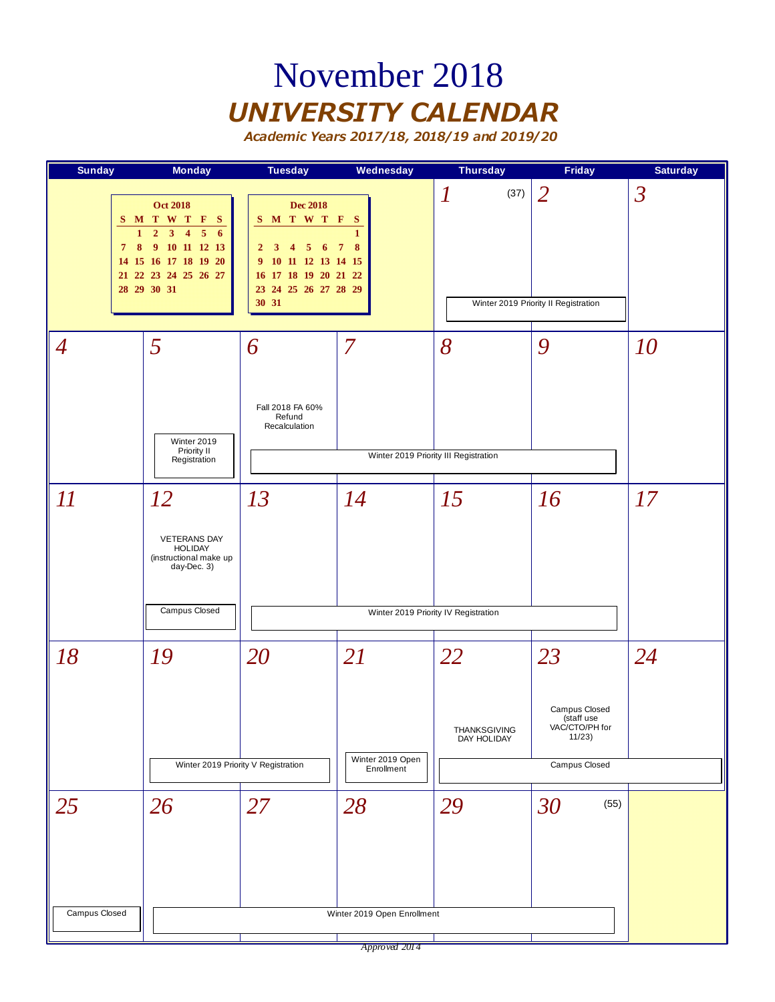### November 2018 *UNIVERSITY CALENDAR*

*Academic Years 2017/18, 2018/19 and 2019/20*



*Approved 2014*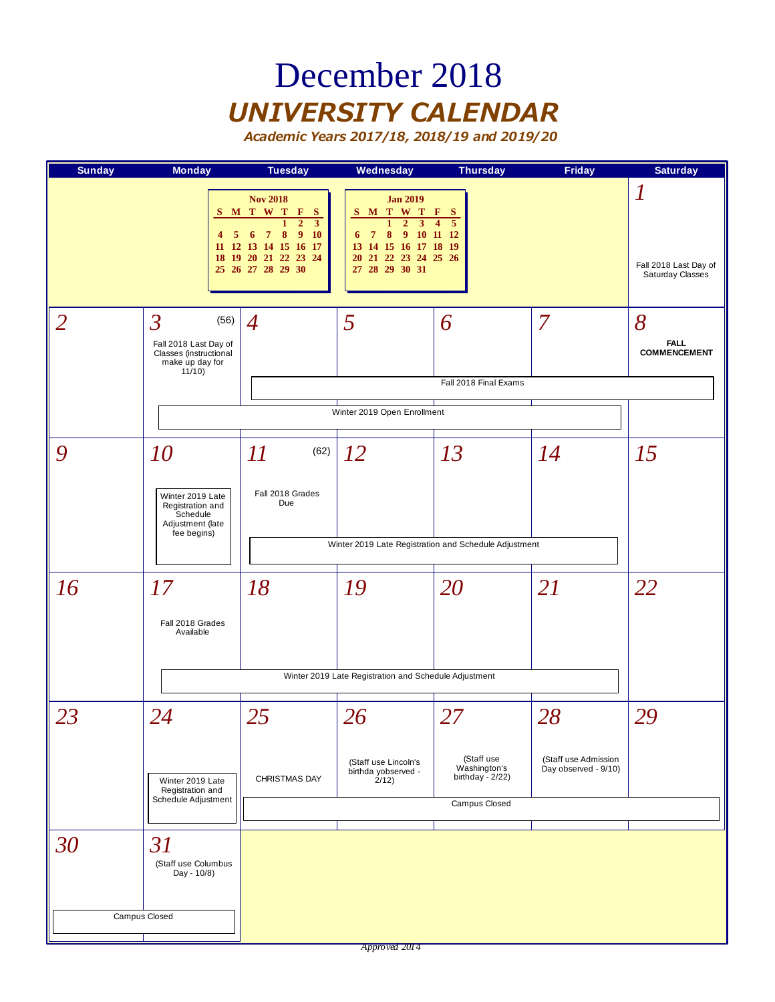### December 2018 *UNIVERSITY CALENDAR*

| <b>Sunday</b>  | <b>Monday</b>                                                                                                   | <b>Tuesday</b>                                                                                                                                                                           | Wednesday                                                                                                                                                                                         | <b>Thursday</b>                                                                       | <b>Friday</b>                                | <b>Saturday</b>                                |
|----------------|-----------------------------------------------------------------------------------------------------------------|------------------------------------------------------------------------------------------------------------------------------------------------------------------------------------------|---------------------------------------------------------------------------------------------------------------------------------------------------------------------------------------------------|---------------------------------------------------------------------------------------|----------------------------------------------|------------------------------------------------|
|                | 4<br>5<br>18                                                                                                    | <b>Nov 2018</b><br>S M T W T F<br><sub>S</sub><br>$\overline{2}$<br>$\mathbf{1}$<br>3<br>8<br>9<br><b>10</b><br>7<br>6<br>11 12 13 14 15 16 17<br>19 20 21 22 23 24<br>25 26 27 28 29 30 | <b>Jan 2019</b><br>M T W T<br>S<br>$\mathbf{1}$<br>$\overline{2}$<br>$\mathbf{3}$<br>8<br>9 <sup>°</sup><br>$\overline{7}$<br>6<br>13 14 15 16 17 18 19<br>20 21 22 23 24 25 26<br>27 28 29 30 31 | $\mathbf{F}$<br>$\mathbf{s}$<br>$\overline{5}$<br>$\overline{\mathbf{4}}$<br>10 11 12 |                                              | 1<br>Fall 2018 Last Day of<br>Saturday Classes |
| $\overline{2}$ | $\overline{\mathcal{S}}$<br>(56)<br>Fall 2018 Last Day of<br>Classes (instructional<br>make up day for<br>11/10 | 4                                                                                                                                                                                        | 5                                                                                                                                                                                                 | 6<br>Fall 2018 Final Exams                                                            | 7                                            | 8<br><b>FALL</b><br><b>COMMENCEMENT</b>        |
|                |                                                                                                                 |                                                                                                                                                                                          | Winter 2019 Open Enrollment                                                                                                                                                                       |                                                                                       |                                              |                                                |
| 9              | 10<br>Winter 2019 Late<br>Registration and<br>Schedule<br>Adjustment (late                                      | $\varPi$<br>(62)<br>Fall 2018 Grades<br>Due                                                                                                                                              | 12                                                                                                                                                                                                | 13                                                                                    | 14                                           | 15                                             |
|                | fee begins)                                                                                                     |                                                                                                                                                                                          |                                                                                                                                                                                                   | Winter 2019 Late Registration and Schedule Adjustment                                 |                                              |                                                |
| 16             | 17<br>Fall 2018 Grades<br>Available                                                                             | 18                                                                                                                                                                                       | 19                                                                                                                                                                                                | 20                                                                                    | <b>21</b>                                    | 22                                             |
|                |                                                                                                                 |                                                                                                                                                                                          | Winter 2019 Late Registration and Schedule Adjustment                                                                                                                                             |                                                                                       |                                              |                                                |
| 23             | 24                                                                                                              | 25                                                                                                                                                                                       | 26                                                                                                                                                                                                | 27                                                                                    | 28                                           | 29                                             |
|                | Winter 2019 Late<br>Registration and<br>Schedule Adjustment                                                     | CHRISTMAS DAY                                                                                                                                                                            | (Staff use Lincoln's<br>birthda yobserved -<br>2/12)                                                                                                                                              | (Staff use<br>Washington's<br>birthday - $2/22$ )<br>Campus Closed                    | (Staff use Admission<br>Day observed - 9/10) |                                                |
|                |                                                                                                                 |                                                                                                                                                                                          |                                                                                                                                                                                                   |                                                                                       |                                              |                                                |
| 30             | 31<br>(Staff use Columbus<br>Day - 10/8)                                                                        |                                                                                                                                                                                          |                                                                                                                                                                                                   |                                                                                       |                                              |                                                |
|                | Campus Closed                                                                                                   |                                                                                                                                                                                          |                                                                                                                                                                                                   |                                                                                       |                                              |                                                |
|                |                                                                                                                 |                                                                                                                                                                                          | Approved 2014                                                                                                                                                                                     |                                                                                       |                                              |                                                |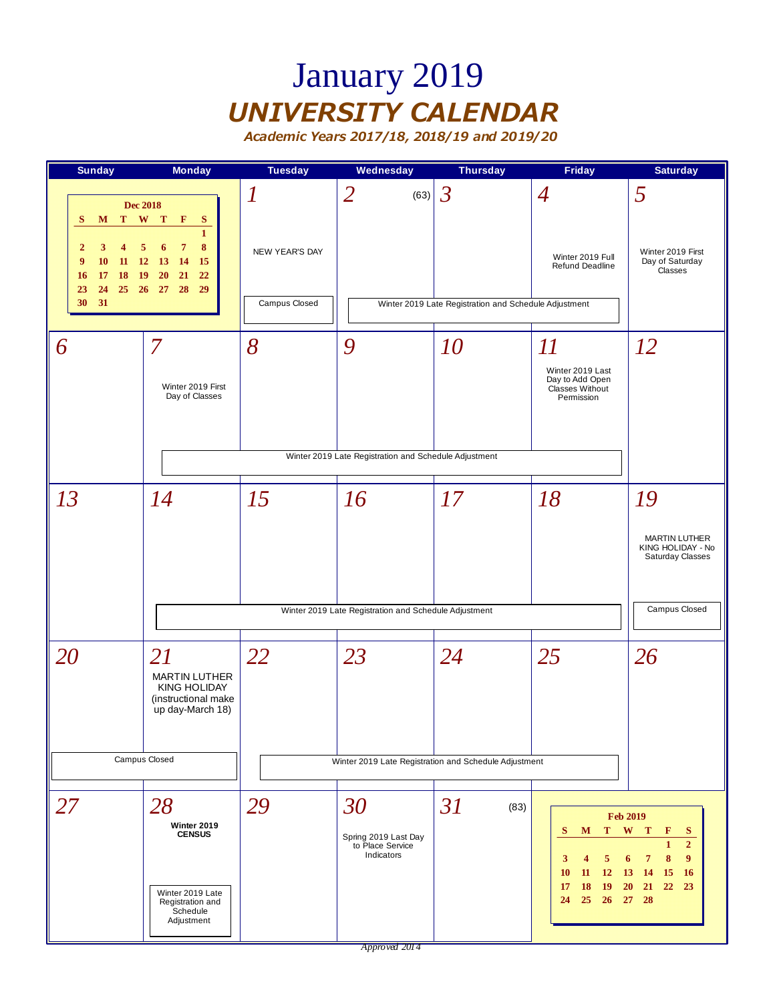## January 2019 *UNIVERSITY CALENDAR*

*Academic Years 2017/18, 2018/19 and 2019/20*



*Approved 2014*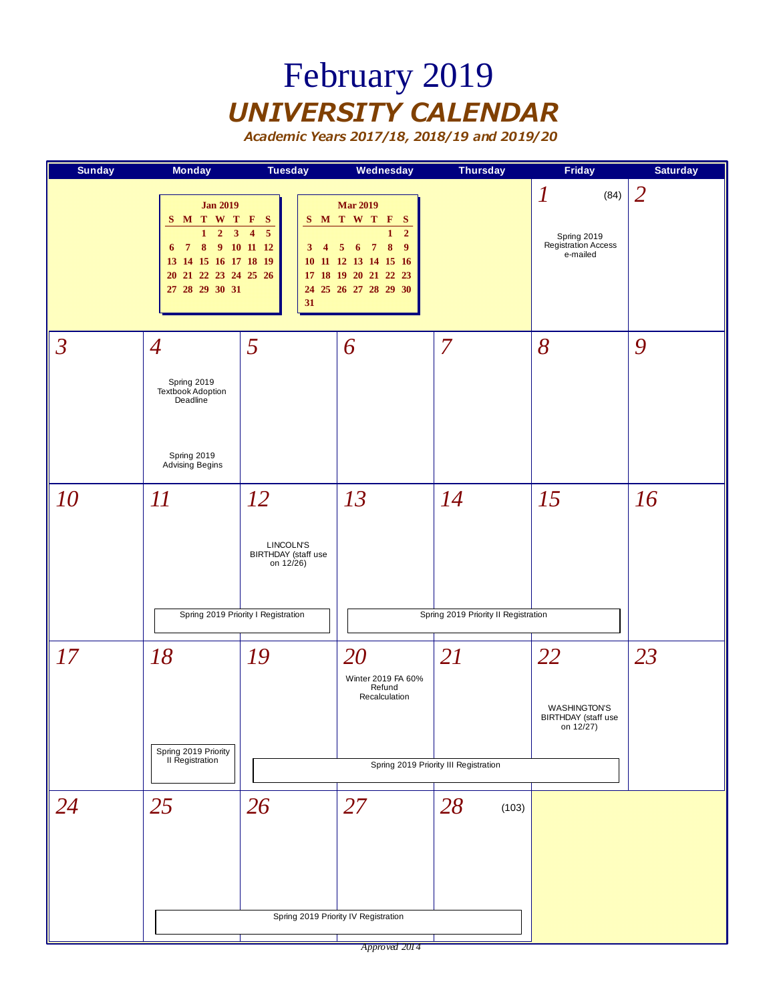## February 2019 *UNIVERSITY CALENDAR*

*Academic Years 2017/18, 2018/19 and 2019/20*

| <b>Sunday</b>            | <b>Monday</b>                                                                                                                                                   | <b>Tuesday</b>                                                                                           | Wednesday                                                                                                                                                                              | <b>Thursday</b>                             | <b>Friday</b>                                                              | <b>Saturday</b> |
|--------------------------|-----------------------------------------------------------------------------------------------------------------------------------------------------------------|----------------------------------------------------------------------------------------------------------|----------------------------------------------------------------------------------------------------------------------------------------------------------------------------------------|---------------------------------------------|----------------------------------------------------------------------------|-----------------|
|                          | <b>Jan 2019</b><br>S M T W T F S<br>$1\quad 2$<br>$\overline{\mathbf{3}}$<br>6 7 8 9 10 11 12<br>13 14 15 16 17 18 19<br>20 21 22 23 24 25 26<br>27 28 29 30 31 | $\overline{\mathbf{4}}$<br>$\overline{5}$<br>$\overline{4}$<br>3 <sup>1</sup><br>31                      | <b>Mar 2019</b><br>S M T W T F S<br>$\overline{2}$<br>1<br>$\overline{7}$<br>8<br>$\overline{9}$<br>$5\quad 6$<br>10 11 12 13 14 15 16<br>17 18 19 20 21 22 23<br>24 25 26 27 28 29 30 |                                             | $\boldsymbol{l}$<br>(84)<br>Spring 2019<br>Registration Access<br>e-mailed | $\overline{2}$  |
| $\overline{\mathcal{S}}$ | $\overline{4}$<br>Spring 2019<br>Textbook Adoption<br>Deadline<br>Spring 2019<br>Advising Begins                                                                | 5                                                                                                        | 6                                                                                                                                                                                      | $\overline{7}$                              | 8                                                                          | 9               |
| 10                       | 11                                                                                                                                                              | <i>12</i><br>LINCOLN'S<br><b>BIRTHDAY</b> (staff use<br>on 12/26)<br>Spring 2019 Priority I Registration | 13                                                                                                                                                                                     | 14<br>Spring 2019 Priority II Registration  | 15                                                                         | 16              |
| 17                       | 18<br>Spring 2019 Priority<br>II Registration                                                                                                                   | 19                                                                                                       | 20<br>Winter 2019 FA 60%<br>Refund<br>Recalculation                                                                                                                                    | 21<br>Spring 2019 Priority III Registration | 22<br><b>WASHINGTON'S</b><br>BIRTHDAY (staff use<br>on 12/27)              | 23              |
| 24                       | 25                                                                                                                                                              | 26                                                                                                       | 27<br>Spring 2019 Priority IV Registration                                                                                                                                             | 28<br>(103)                                 |                                                                            |                 |

*Approved 2014*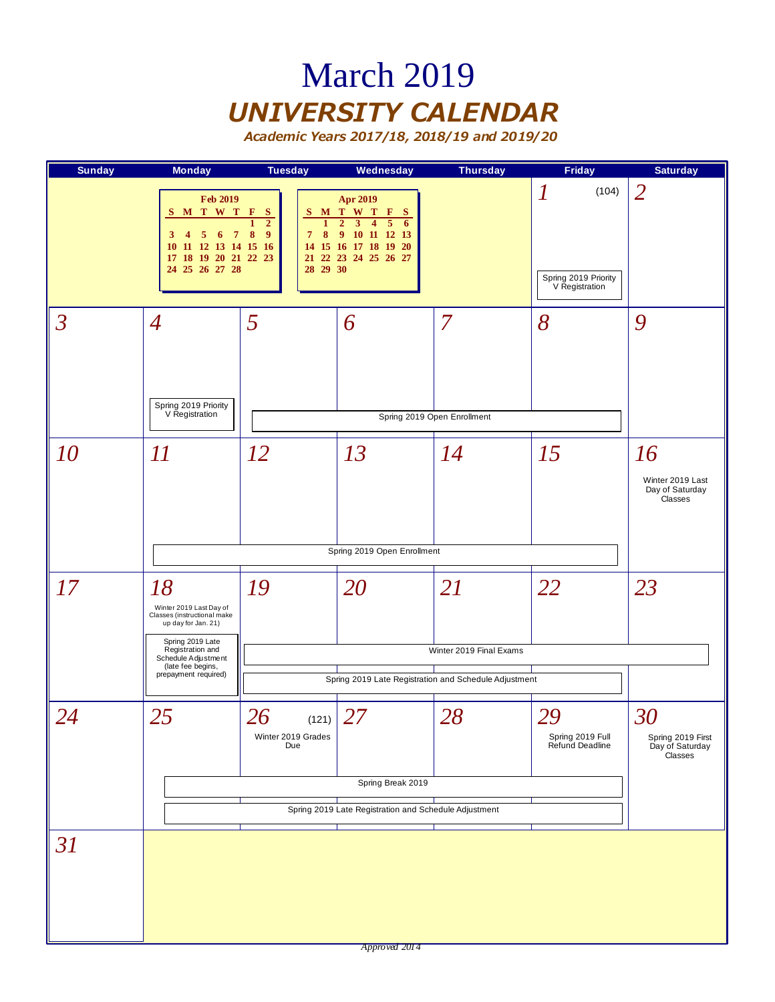### March 2019 *UNIVERSITY CALENDAR*

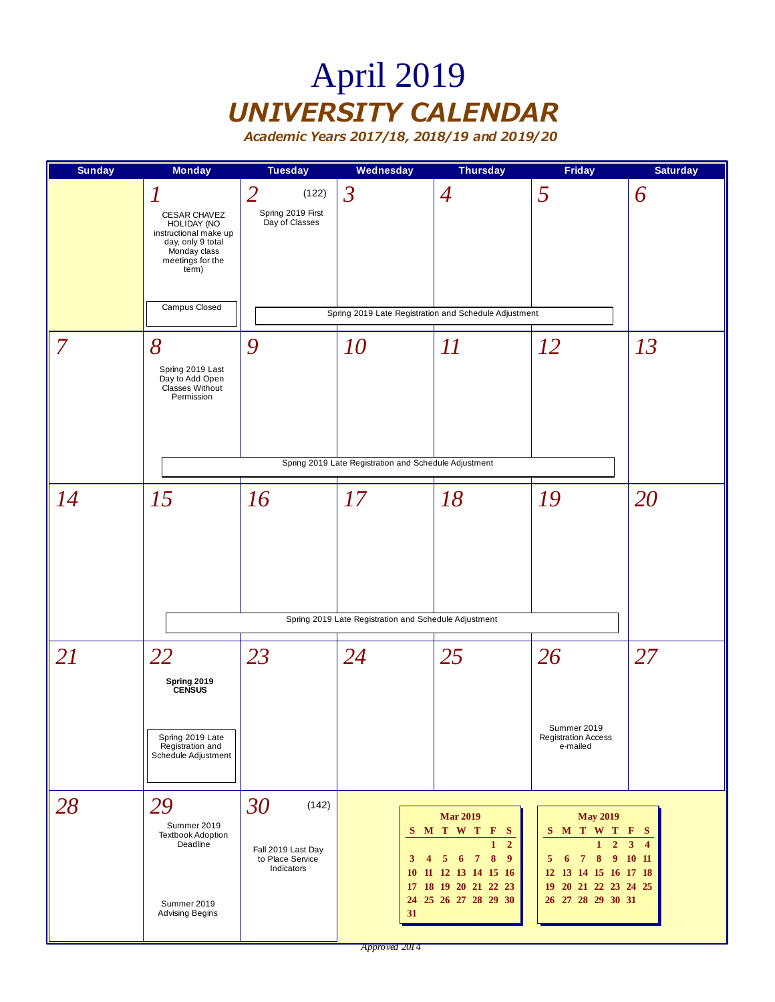# April 2019 *UNIVERSITY CALENDAR*

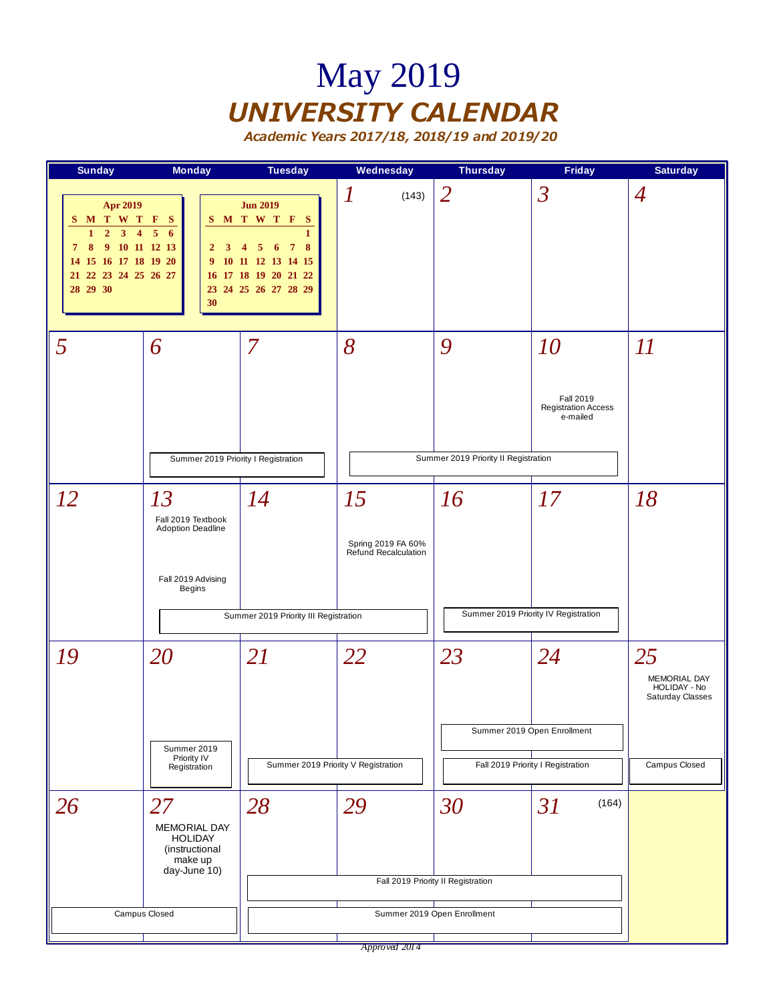## May 2019 *UNIVERSITY CALENDAR*

| $\overline{2}$<br>$\mathfrak{Z}$<br>$\boldsymbol{l}$<br>$\overline{A}$<br>(143)<br><b>Apr 2019</b><br><b>Jun 2019</b><br>M T W T F S<br>S M T W T F<br>- S<br>S.<br>$\overline{2}$<br>5<br>3 <sup>1</sup><br>6<br>$\mathbf{1}$<br>$\overline{4}$<br>1<br>7 8 9 10 11 12 13<br>$\overline{7}$<br>8<br>$\overline{2}$<br>3<br>5<br>6<br>4<br>14 15 16 17 18 19 20<br>9 10 11 12 13 14 15<br>21 22 23 24 25 26 27<br>16 17 18 19 20 21 22<br>28 29 30<br>23 24 25 26 27 28 29<br>30<br>5<br>7<br>8<br>9<br>10<br>II<br>6<br><b>Fall 2019</b><br><b>Registration Access</b><br>e-mailed<br>Summer 2019 Priority II Registration<br>Summer 2019 Priority I Registration<br>16<br><i>12</i><br>13<br>14<br>15<br>17<br>18<br>Fall 2019 Textbook<br>Adoption Deadline<br>Spring 2019 FA 60%<br>Refund Recalculation<br>Fall 2019 Advising<br><b>Begins</b><br>Summer 2019 Priority IV Registration<br>Summer 2019 Priority III Registration<br>23<br>20<br>22<br>24<br>25<br>19<br>21<br>MEMORIAL DAY<br>HOLIDAY - No<br>Saturday Classes<br>Summer 2019 Open Enrollment<br>Summer 2019<br>Priority IV<br>Summer 2019 Priority V Registration<br>Fall 2019 Priority I Registration<br>Campus Closed<br>Registration<br>28<br>29<br>30<br>26<br>27<br>31<br>(164)<br>MEMORIAL DAY<br><b>HOLIDAY</b><br>(instructional<br>make up<br>day-June 10)<br>Fall 2019 Priority II Registration | <b>Sunday</b> | <b>Monday</b> | <b>Tuesday</b> | Wednesday | <b>Thursday</b> | <b>Friday</b> | <b>Saturday</b> |
|--------------------------------------------------------------------------------------------------------------------------------------------------------------------------------------------------------------------------------------------------------------------------------------------------------------------------------------------------------------------------------------------------------------------------------------------------------------------------------------------------------------------------------------------------------------------------------------------------------------------------------------------------------------------------------------------------------------------------------------------------------------------------------------------------------------------------------------------------------------------------------------------------------------------------------------------------------------------------------------------------------------------------------------------------------------------------------------------------------------------------------------------------------------------------------------------------------------------------------------------------------------------------------------------------------------------------------------------------------------------------------|---------------|---------------|----------------|-----------|-----------------|---------------|-----------------|
|                                                                                                                                                                                                                                                                                                                                                                                                                                                                                                                                                                                                                                                                                                                                                                                                                                                                                                                                                                                                                                                                                                                                                                                                                                                                                                                                                                                |               |               |                |           |                 |               |                 |
|                                                                                                                                                                                                                                                                                                                                                                                                                                                                                                                                                                                                                                                                                                                                                                                                                                                                                                                                                                                                                                                                                                                                                                                                                                                                                                                                                                                |               |               |                |           |                 |               |                 |
|                                                                                                                                                                                                                                                                                                                                                                                                                                                                                                                                                                                                                                                                                                                                                                                                                                                                                                                                                                                                                                                                                                                                                                                                                                                                                                                                                                                |               |               |                |           |                 |               |                 |
|                                                                                                                                                                                                                                                                                                                                                                                                                                                                                                                                                                                                                                                                                                                                                                                                                                                                                                                                                                                                                                                                                                                                                                                                                                                                                                                                                                                |               |               |                |           |                 |               |                 |
| Campus Closed<br>Summer 2019 Open Enrollment                                                                                                                                                                                                                                                                                                                                                                                                                                                                                                                                                                                                                                                                                                                                                                                                                                                                                                                                                                                                                                                                                                                                                                                                                                                                                                                                   |               |               |                |           |                 |               |                 |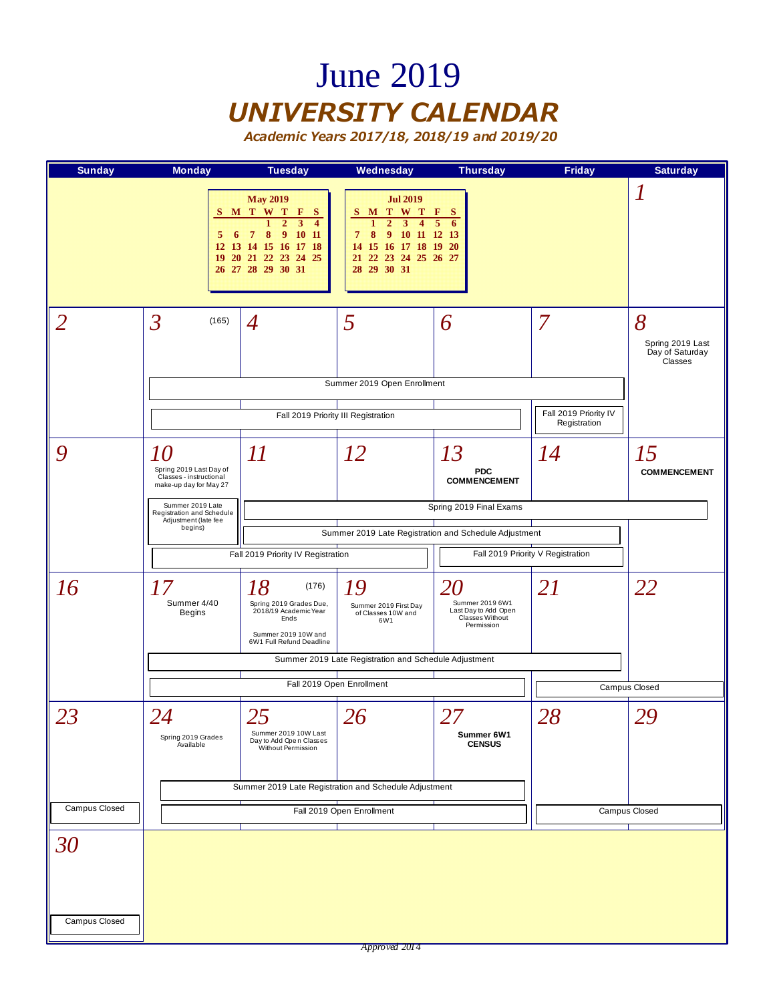### June 2019 *UNIVERSITY CALENDAR*

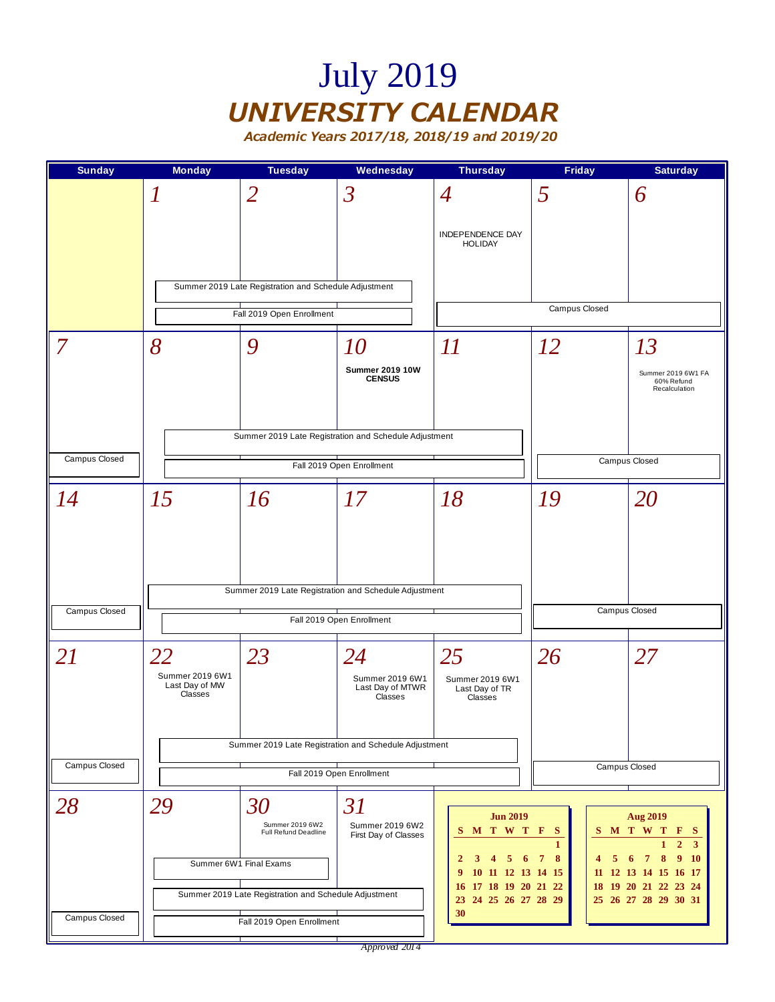# July 2019 *UNIVERSITY CALENDAR*

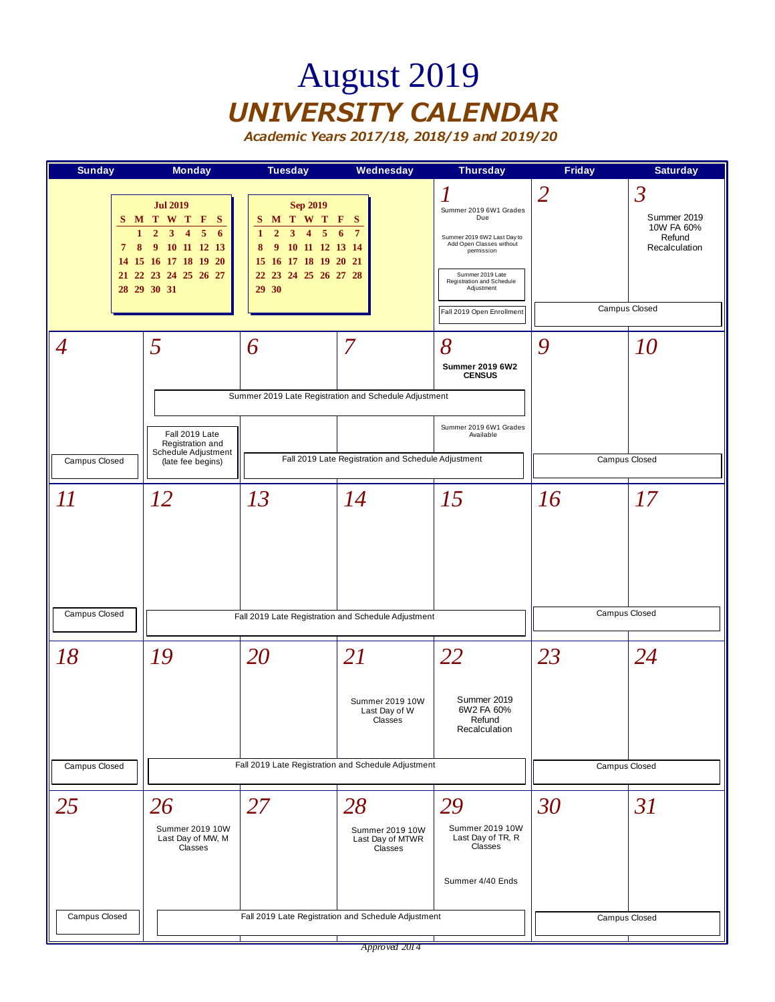## August 2019 *UNIVERSITY CALENDAR*

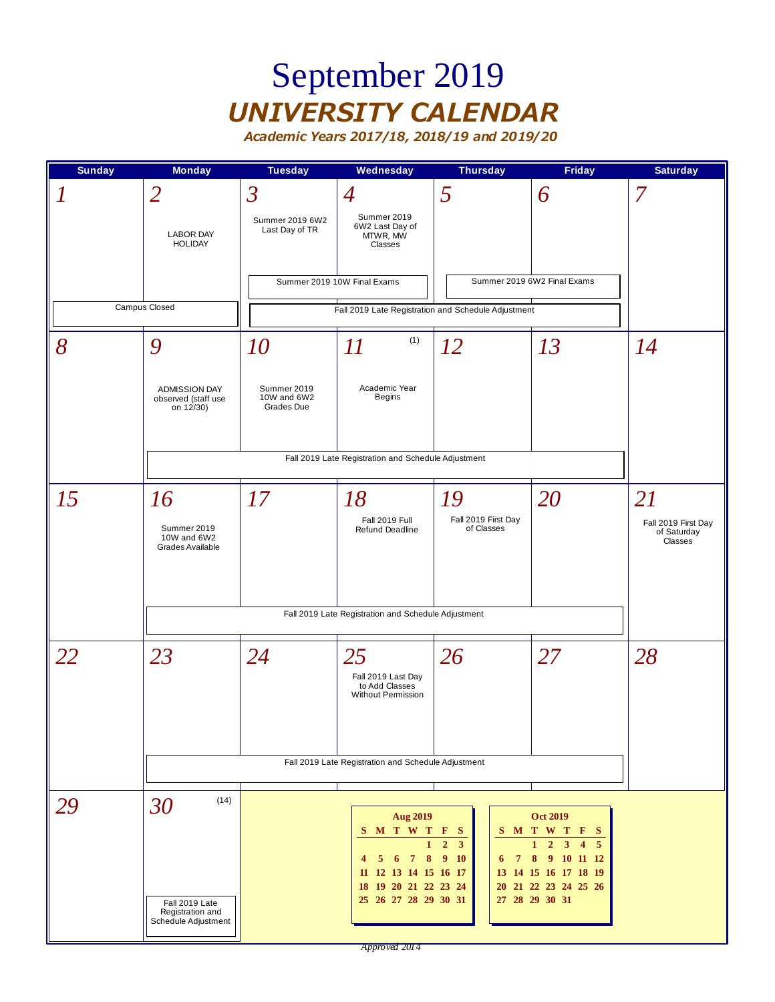### September 2019 *UNIVERSITY CALENDAR*

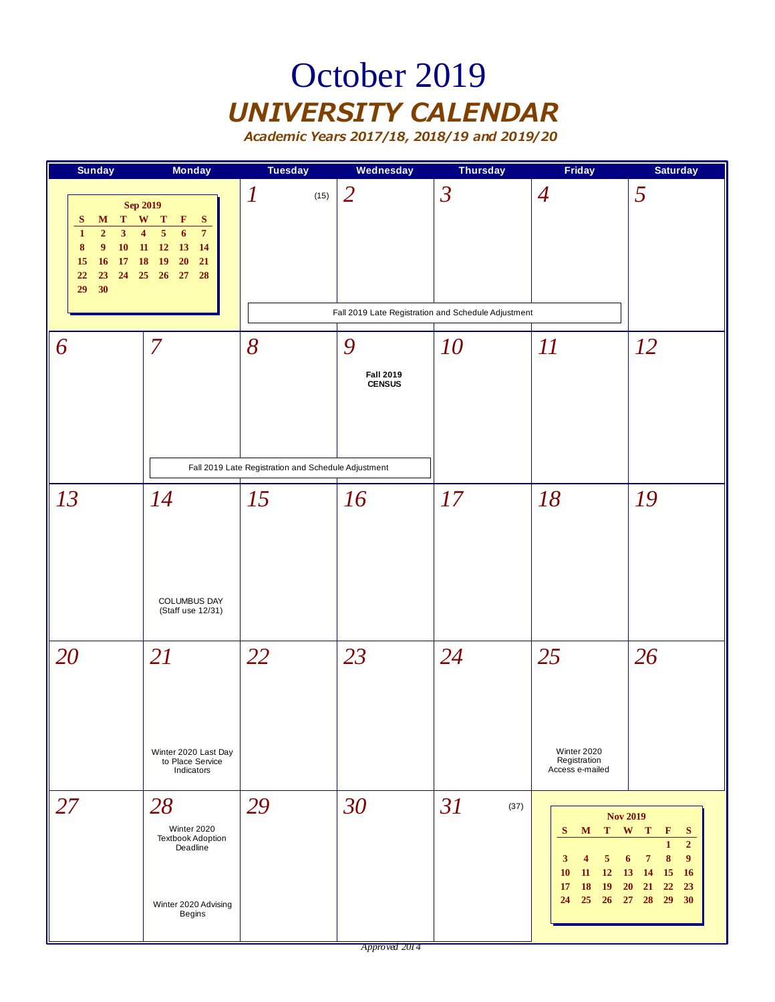### October 2019 *UNIVERSITY CALENDAR*

| <b>Sunday</b>                                                                                                                                                                    | <b>Monday</b>                                                                                                                                                                   | <b>Tuesday</b>                                           | Wednesday                              | <b>Thursday</b>                                                                 | <b>Friday</b>                                                                                                              | <b>Saturday</b>                                                                                                                                          |
|----------------------------------------------------------------------------------------------------------------------------------------------------------------------------------|---------------------------------------------------------------------------------------------------------------------------------------------------------------------------------|----------------------------------------------------------|----------------------------------------|---------------------------------------------------------------------------------|----------------------------------------------------------------------------------------------------------------------------|----------------------------------------------------------------------------------------------------------------------------------------------------------|
| <b>Sep 2019</b><br>$\mathbf{W}$<br>T<br>S<br>M<br>$\overline{2}$<br>3<br>$\mathbf{1}$<br>$\boldsymbol{9}$<br>10<br>$\boldsymbol{8}$<br>17 18<br>15<br>16<br>22<br>23<br>30<br>29 | $\mathbf{T}$<br>$\mathbf{F}$<br>S<br>5<br>6<br>$\overline{7}$<br>$\overline{\mathbf{4}}$<br>$11\,$<br>12<br>13<br>14<br>$20\,$<br><b>19</b><br>21<br>24    25    26    27<br>28 | $\boldsymbol{l}$<br>(15)                                 | $\overline{2}$                         | $\overline{\mathcal{S}}$<br>Fall 2019 Late Registration and Schedule Adjustment | $\overline{4}$                                                                                                             | 5                                                                                                                                                        |
| 6                                                                                                                                                                                | $\overline{7}$                                                                                                                                                                  | 8<br>Fall 2019 Late Registration and Schedule Adjustment | 9<br><b>Fall 2019</b><br><b>CENSUS</b> | 10                                                                              | II                                                                                                                         | <i>12</i>                                                                                                                                                |
| 13                                                                                                                                                                               | 14<br>COLUMBUS DAY<br>(Staff use 12/31)                                                                                                                                         | 15                                                       | 16                                     | 17                                                                              | 18                                                                                                                         | 19                                                                                                                                                       |
| 20                                                                                                                                                                               | 21<br>Winter 2020 Last Day<br>to Place Service<br>Indicators                                                                                                                    | 22                                                       | 23                                     | 24                                                                              | 25<br>Winter 2020<br>Registration<br>Access e-mailed                                                                       | 26                                                                                                                                                       |
| 27                                                                                                                                                                               | 28<br>Winter 2020<br><b>Textbook Adoption</b><br>Deadline<br>Winter 2020 Advising<br>Begins                                                                                     | 29                                                       | 30                                     | 31<br>(37)                                                                      | <b>Nov 2019</b><br>S.<br>M<br>5<br>3<br>4<br>11<br>10<br><b>12</b><br><b>18</b><br><b>19</b><br>17<br>25<br>26 27 28<br>24 | T W T<br>F<br>S<br>$\overline{2}$<br>1<br>9 <sup>°</sup><br>8<br>7<br>6<br>15<br>16<br><b>13</b><br><b>14</b><br>22<br><b>20</b><br>21<br>23<br>29<br>30 |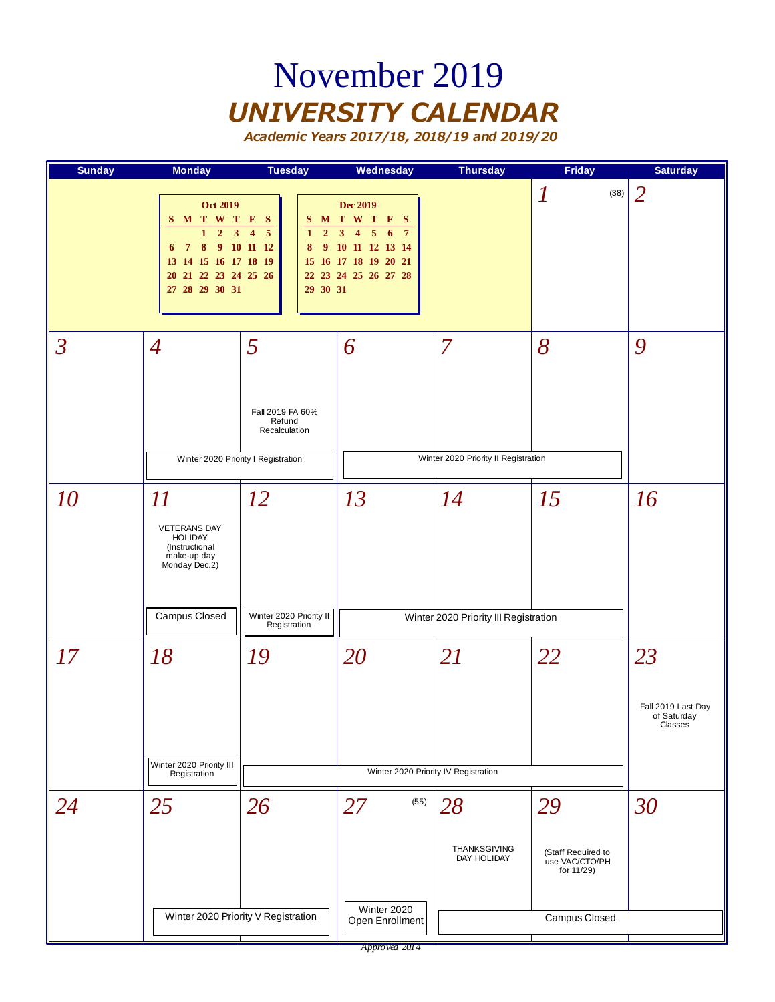### November 2019 *UNIVERSITY CALENDAR*

| <b>Sunday</b>  | <b>Monday</b>                                                                                                                                                               | <b>Tuesday</b>                                                                                                    | Wednesday                                                                                                                                                                         | <b>Thursday</b>                                        | <b>Friday</b>                                                             | <b>Saturday</b>                                    |
|----------------|-----------------------------------------------------------------------------------------------------------------------------------------------------------------------------|-------------------------------------------------------------------------------------------------------------------|-----------------------------------------------------------------------------------------------------------------------------------------------------------------------------------|--------------------------------------------------------|---------------------------------------------------------------------------|----------------------------------------------------|
|                | <b>Oct 2019</b><br>S M T W T F<br>$\overline{2}$<br>$\overline{3}$<br>$\mathbf{1}$<br>8<br>6 <sub>7</sub><br>13 14 15 16 17 18 19<br>20 21 22 23 24 25 26<br>27 28 29 30 31 | - S<br>$\overline{\mathbf{4}}$<br>$\overline{5}$<br>$\overline{2}$<br>$\mathbf{1}$<br>9 10 11 12<br>8<br>29 30 31 | <b>Dec 2019</b><br>S M T W T F S<br>$\overline{5}$<br>3 <sup>1</sup><br>$\overline{7}$<br>$\overline{4}$<br>6<br>9 10 11 12 13 14<br>15 16 17 18 19 20 21<br>22 23 24 25 26 27 28 |                                                        | $\boldsymbol{l}$<br>(38)                                                  | 2                                                  |
| $\overline{3}$ | $\overline{4}$<br>Winter 2020 Priority I Registration                                                                                                                       | 5<br>Fall 2019 FA 60%<br>Refund<br>Recalculation                                                                  | 6                                                                                                                                                                                 | $\overline{7}$<br>Winter 2020 Priority II Registration | 8                                                                         | 9                                                  |
| <i>10</i>      | $\varPi$<br><b>VETERANS DAY</b><br><b>HOLIDAY</b><br>(Instructional<br>make-up day<br>Monday Dec.2)<br>Campus Closed                                                        | 12<br>Winter 2020 Priority II<br>Registration                                                                     | 13                                                                                                                                                                                | 14<br>Winter 2020 Priority III Registration            | 15                                                                        | 16                                                 |
| 17             | 18<br>Winter 2020 Priority III<br>Registration                                                                                                                              | 19                                                                                                                | 20                                                                                                                                                                                | 21<br>Winter 2020 Priority IV Registration             | 22                                                                        | 23<br>Fall 2019 Last Day<br>of Saturday<br>Classes |
| 24             | 25                                                                                                                                                                          | 26<br>Winter 2020 Priority V Registration                                                                         | (55)<br>27<br>Winter 2020<br>Open Enrollment                                                                                                                                      | 28<br><b>THANKSGIVING</b><br>DAY HOLIDAY               | 29<br>(Staff Required to<br>use VAC/CTO/PH<br>for 11/29)<br>Campus Closed | 30                                                 |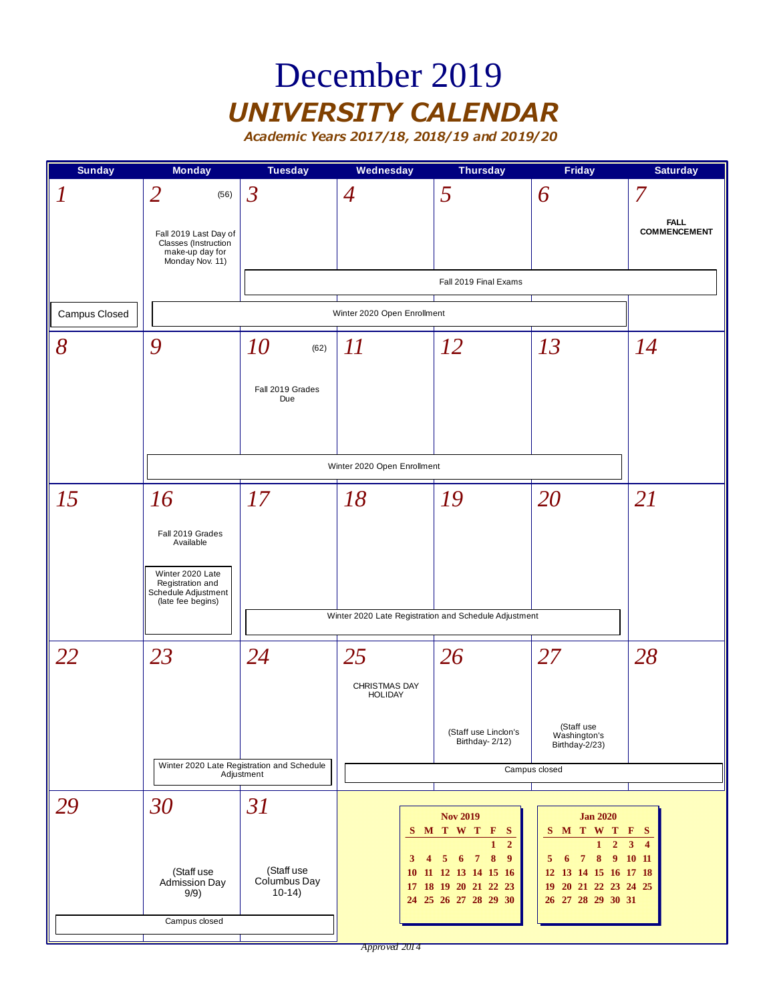### December 2019 *UNIVERSITY CALENDAR*

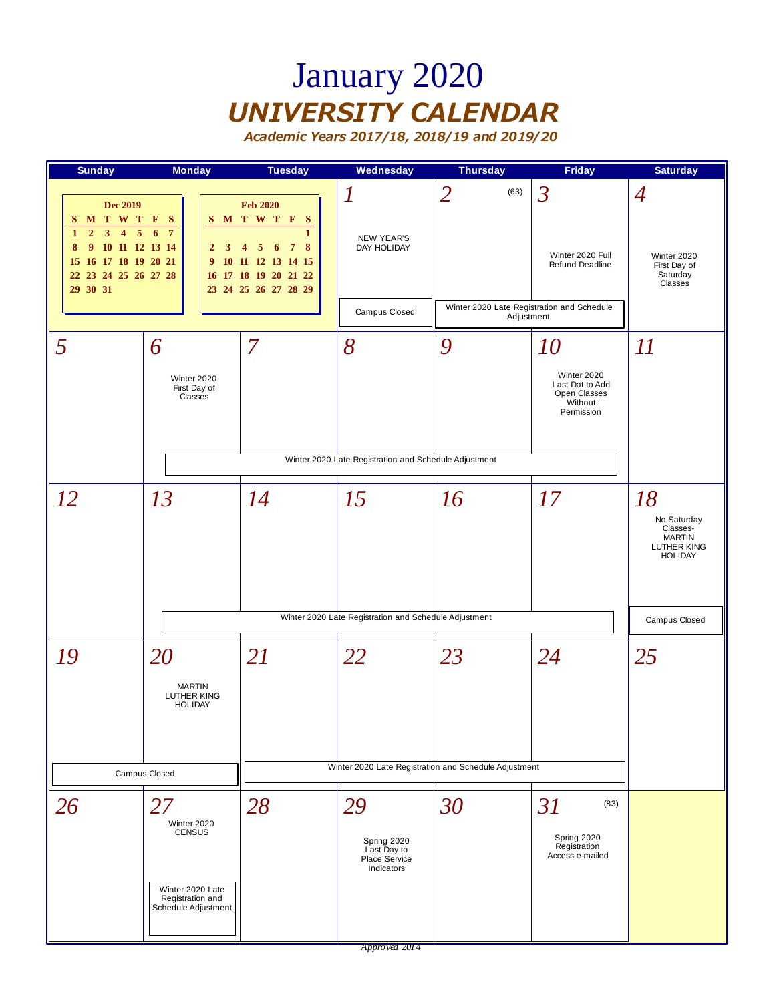### January 2020 *UNIVERSITY CALENDAR*

*Academic Years 2017/18, 2018/19 and 2019/20*



*Approved 2014*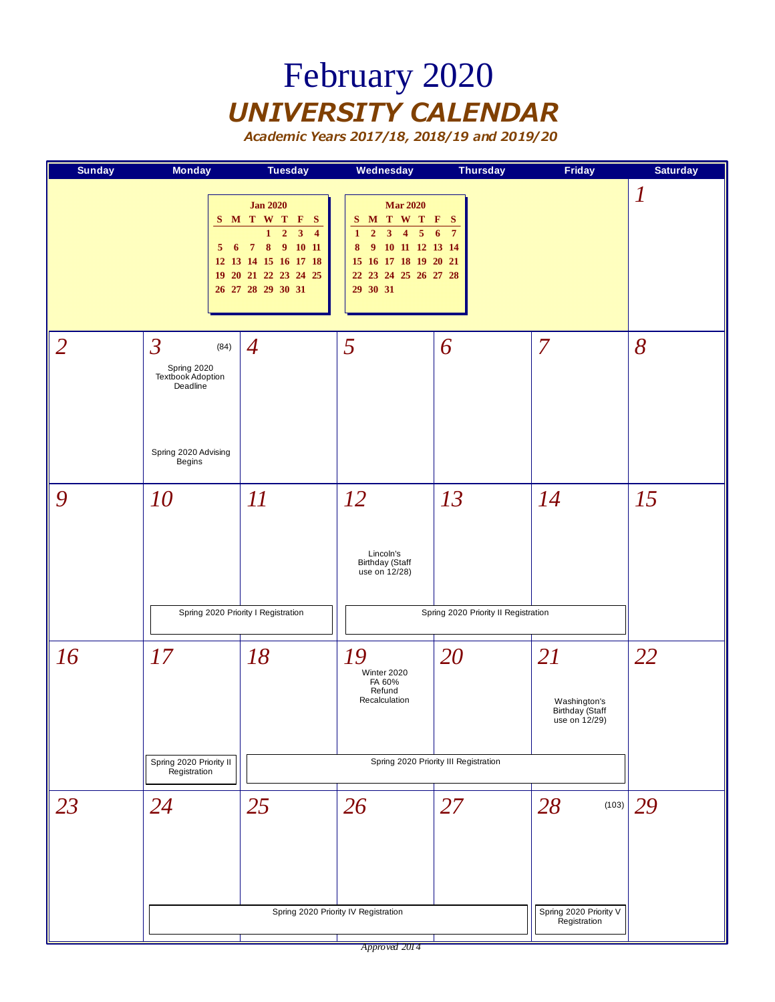## February 2020 *UNIVERSITY CALENDAR*

| <b>Sunday</b>  | <b>Monday</b>                                                                                            | <b>Tuesday</b>                                                                                                                                                                                           | <b>Wednesday</b>                                                                                                                                                                                                                   | <b>Thursday</b>                             | <b>Friday</b>                                          | <b>Saturday</b>  |
|----------------|----------------------------------------------------------------------------------------------------------|----------------------------------------------------------------------------------------------------------------------------------------------------------------------------------------------------------|------------------------------------------------------------------------------------------------------------------------------------------------------------------------------------------------------------------------------------|---------------------------------------------|--------------------------------------------------------|------------------|
|                | 5 <sup>5</sup>                                                                                           | <b>Jan 2020</b><br>S M T W T F<br>- S<br>$\overline{2}$<br>$\overline{\mathbf{3}}$<br>$\overline{\mathbf{4}}$<br>1<br>6 7 8 9 10 11<br>12 13 14 15 16 17 18<br>19 20 21 22 23 24 25<br>26 27 28 29 30 31 | <b>Mar 2020</b><br>M T W T F S<br>S<br>$\overline{2}$<br>$\overline{\mathbf{3}}$<br>$\overline{5}$<br>$\mathbf{1}$<br>$\overline{\mathbf{4}}$<br>9 10 11 12 13 14<br>8<br>15 16 17 18 19 20 21<br>22 23 24 25 26 27 28<br>29 30 31 | 6<br>$7\phantom{.0}$                        |                                                        | $\boldsymbol{l}$ |
| $\overline{2}$ | $\overline{3}$<br>(84)<br>Spring 2020<br>Textbook Adoption<br>Deadline<br>Spring 2020 Advising<br>Begins | $\boldsymbol{4}$                                                                                                                                                                                         | 5                                                                                                                                                                                                                                  | 6                                           | 7                                                      | 8                |
| 9              | 10                                                                                                       | $\overline{\mathfrak{U}}$<br>Spring 2020 Priority I Registration                                                                                                                                         | 12<br>Lincoln's<br><b>Birthday</b> (Staff<br>use on 12/28)                                                                                                                                                                         | 13<br>Spring 2020 Priority II Registration  | 14                                                     | 15               |
| 16             | 17<br>Spring 2020 Priority II<br>Registration                                                            | 18                                                                                                                                                                                                       | 19<br>Winter 2020<br>FA 60%<br>Refund<br>Recalculation                                                                                                                                                                             | 20<br>Spring 2020 Priority III Registration | 21<br>Washington's<br>Birthday (Staff<br>use on 12/29) | 22               |
| 23             | 24                                                                                                       | 25                                                                                                                                                                                                       | 26<br>Spring 2020 Priority IV Registration                                                                                                                                                                                         | 27                                          | 28<br>(103)<br>Spring 2020 Priority V<br>Registration  | 29               |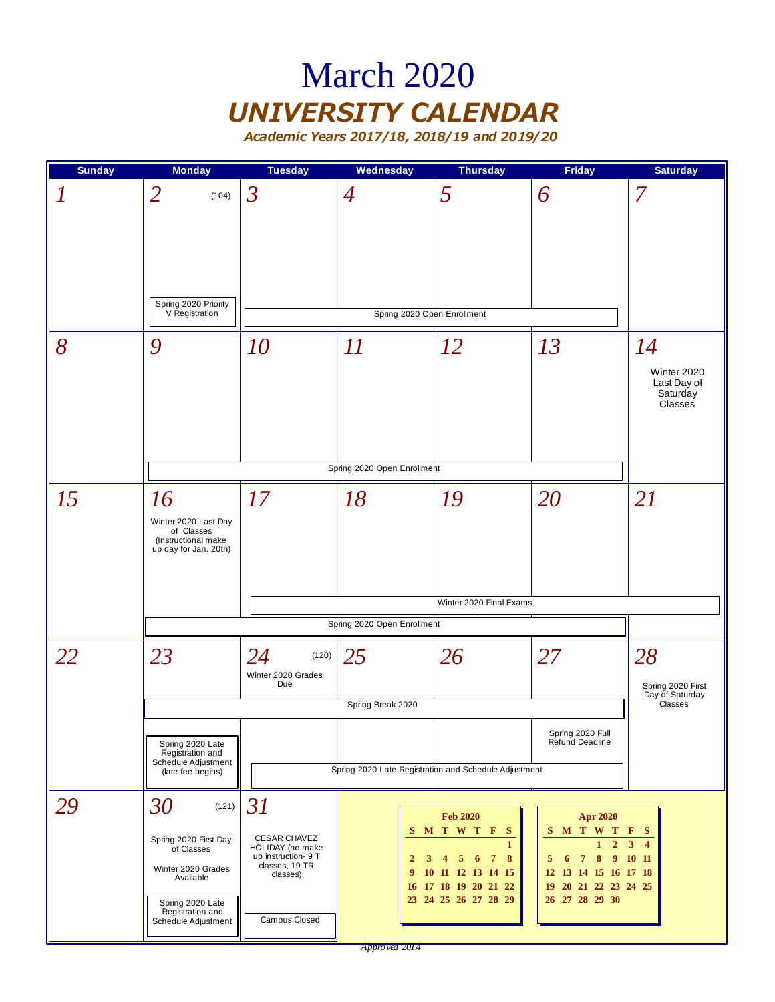### March 2020 *UNIVERSITY CALENDAR*

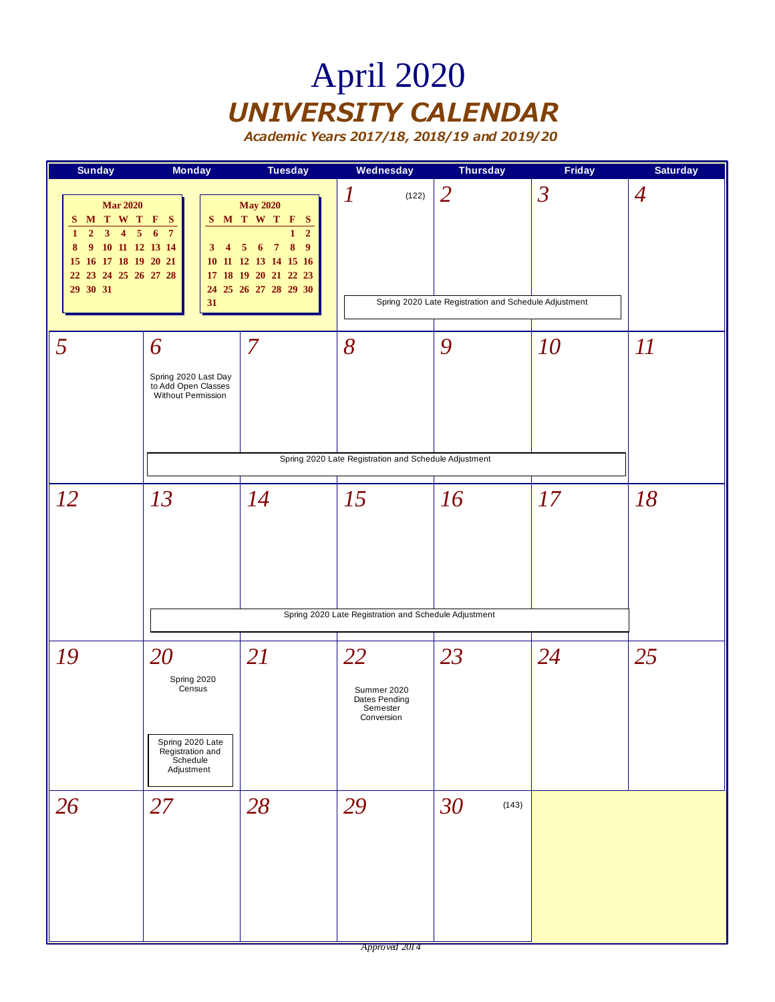# April 2020 *UNIVERSITY CALENDAR*

| <b>Sunday</b>                                                                                                                                                                                                          | <b>Monday</b>                                                                                 | <b>Tuesday</b>                                                                                                                                                                          | Wednesday                                                    | <b>Thursday</b>                                                         | Friday         | <b>Saturday</b> |
|------------------------------------------------------------------------------------------------------------------------------------------------------------------------------------------------------------------------|-----------------------------------------------------------------------------------------------|-----------------------------------------------------------------------------------------------------------------------------------------------------------------------------------------|--------------------------------------------------------------|-------------------------------------------------------------------------|----------------|-----------------|
| <b>Mar 2020</b><br>S M T W T F S<br>3 <sup>1</sup><br>$\overline{\mathbf{5}}$<br>$\overline{2}$<br>$\overline{4}$<br>$\mathbf{1}$<br>9 10 11 12 13 14<br>8<br>15 16 17 18 19 20 21<br>22 23 24 25 26 27 28<br>29 30 31 | 6<br>$7\phantom{.0}$<br>3 <sup>1</sup><br>$\overline{4}$<br>31                                | <b>May 2020</b><br>S M T W T F S<br>$\overline{2}$<br>1<br>$\pmb{8}$<br>$\overline{9}$<br>5 <sup>5</sup><br>6 7<br>10 11 12 13 14 15 16<br>17 18 19 20 21 22 23<br>24 25 26 27 28 29 30 | $\boldsymbol{l}$<br>(122)                                    | $\overline{2}$<br>Spring 2020 Late Registration and Schedule Adjustment | $\overline{3}$ | $\overline{A}$  |
| 5                                                                                                                                                                                                                      | 6<br>Spring 2020 Last Day<br>to Add Open Classes<br>Without Permission                        | $\overline{7}$                                                                                                                                                                          | 8<br>Spring 2020 Late Registration and Schedule Adjustment   | 9                                                                       | 10             | II              |
| 12                                                                                                                                                                                                                     | 13                                                                                            | 14                                                                                                                                                                                      | 15<br>Spring 2020 Late Registration and Schedule Adjustment  | 16                                                                      | 17             | 18              |
| 19                                                                                                                                                                                                                     | 20<br>Spring 2020<br>Census<br>Spring 2020 Late<br>Registration and<br>Schedule<br>Adjustment | <b>21</b>                                                                                                                                                                               | 22<br>Summer 2020<br>Dates Pending<br>Semester<br>Conversion | 23                                                                      | 24             | 25              |
| 26                                                                                                                                                                                                                     | 27                                                                                            | 28                                                                                                                                                                                      | 29                                                           | 30<br>(143)                                                             |                |                 |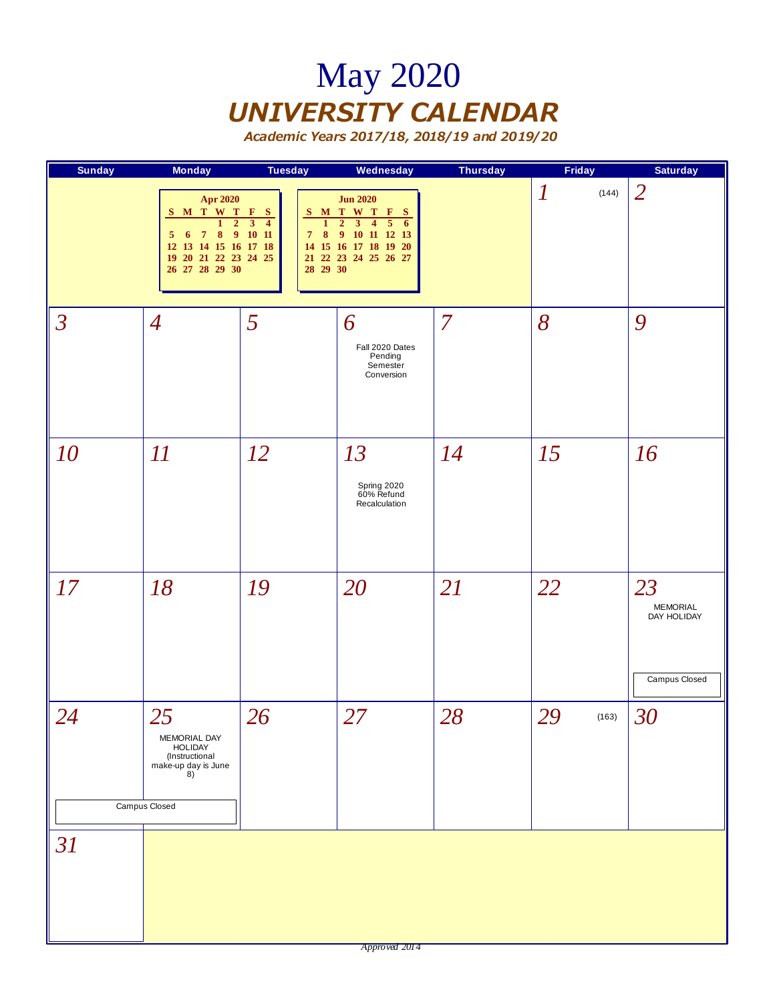## May 2020 *UNIVERSITY CALENDAR*

| <b>Sunday</b>  | <b>Monday</b>                                                                                                                                                                 | <b>Tuesday</b>                                                                                 | Wednesday                                                                                                                                                                                            | <b>Thursday</b> | Friday                    | <b>Saturday</b>                                |
|----------------|-------------------------------------------------------------------------------------------------------------------------------------------------------------------------------|------------------------------------------------------------------------------------------------|------------------------------------------------------------------------------------------------------------------------------------------------------------------------------------------------------|-----------------|---------------------------|------------------------------------------------|
|                | <b>Apr 2020</b><br>S M T W T F S<br>$\overline{2}$<br>$\mathbf{1}$<br>$\pmb{8}$<br>$\overline{7}$<br>5<br>6<br>12 13 14 15 16 17 18<br>19 20 21 22 23 24 25<br>26 27 28 29 30 | $\overline{3}$<br>$\overline{4}$<br>$\mathbf{1}$<br>91011<br>$\boldsymbol{8}$<br>7<br>28 29 30 | <b>Jun 2020</b><br>S M T W T F S<br>$\overline{5}$<br>$\mathbf 2$<br>$\overline{\mathbf{3}}$<br>$\overline{4}$<br>6<br>$\overline{9}$<br>10 11 12 13<br>14 15 16 17 18 19 20<br>21 22 23 24 25 26 27 |                 | $\boldsymbol{l}$<br>(144) | $\overline{2}$                                 |
| $\mathfrak{Z}$ | $\overline{4}$                                                                                                                                                                | 5                                                                                              | 6<br>Fall 2020 Dates<br>Pending<br>Semester<br>Conversion                                                                                                                                            | $\overline{7}$  | 8                         | 9                                              |
| 10             | $\varPi$                                                                                                                                                                      | 12                                                                                             | 13<br>Spring 2020<br>60% Refund<br>Recalculation                                                                                                                                                     | <i>14</i>       | 15                        | 16                                             |
| 17             | 18                                                                                                                                                                            | 19                                                                                             | 20                                                                                                                                                                                                   | 21              | 22                        | 23<br>MEMORIAL<br>DAY HOLIDAY<br>Campus Closed |
| 24             | 25<br>MEMORIAL DAY<br><b>HOLIDAY</b><br>(Instructional<br>make-up day is June<br>8)<br>Campus Closed                                                                          | 26                                                                                             | 27                                                                                                                                                                                                   | 28              | 29<br>(163)               | 30                                             |
| 31             |                                                                                                                                                                               |                                                                                                |                                                                                                                                                                                                      |                 |                           |                                                |